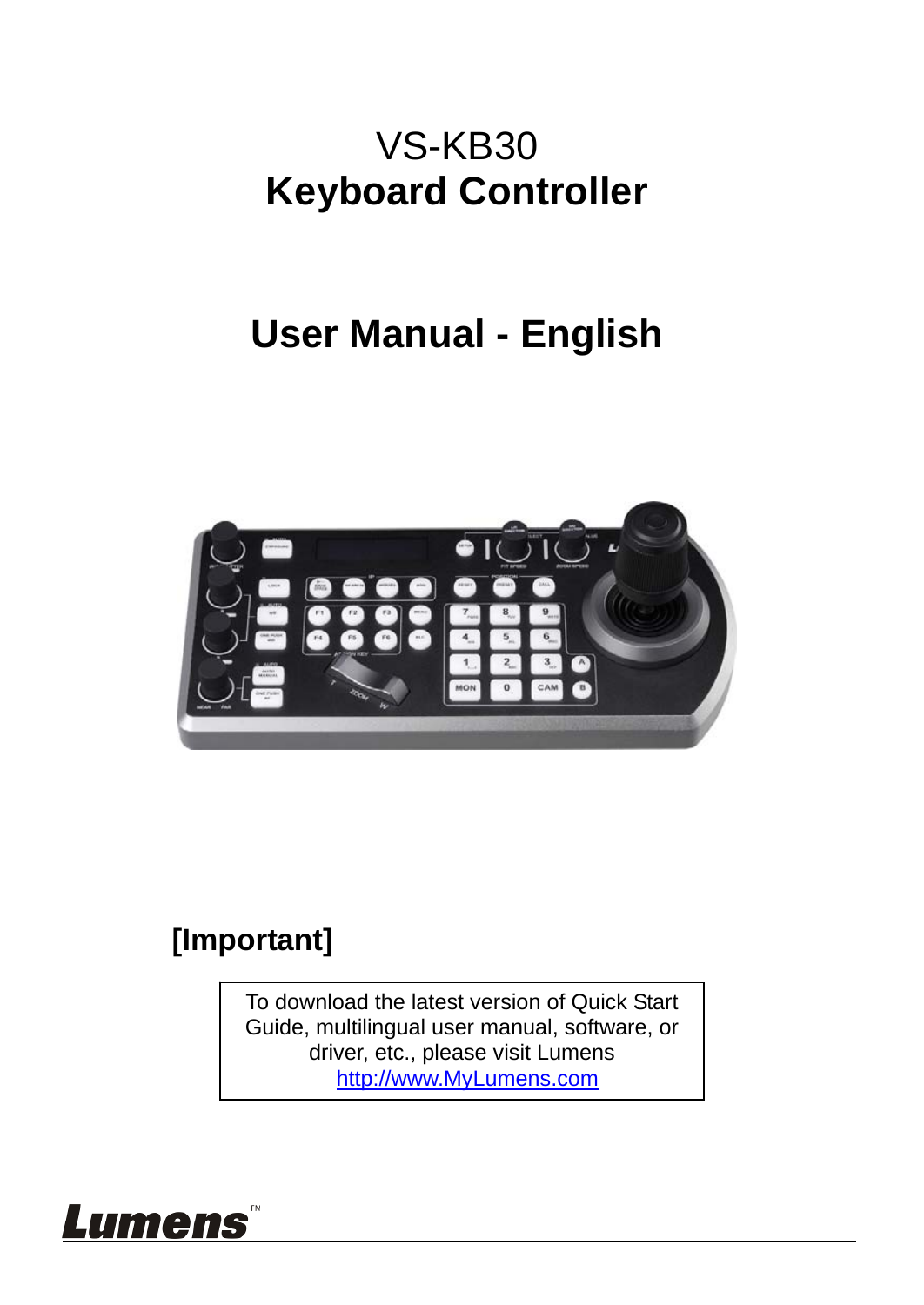### VS-KB30 **Keyboard Controller**

### **User Manual - English**



#### **[Important]**

To download the latest version of Quick Start Guide, multilingual user manual, software, or driver, etc., please visit Lumens http://www.MyLumens.com

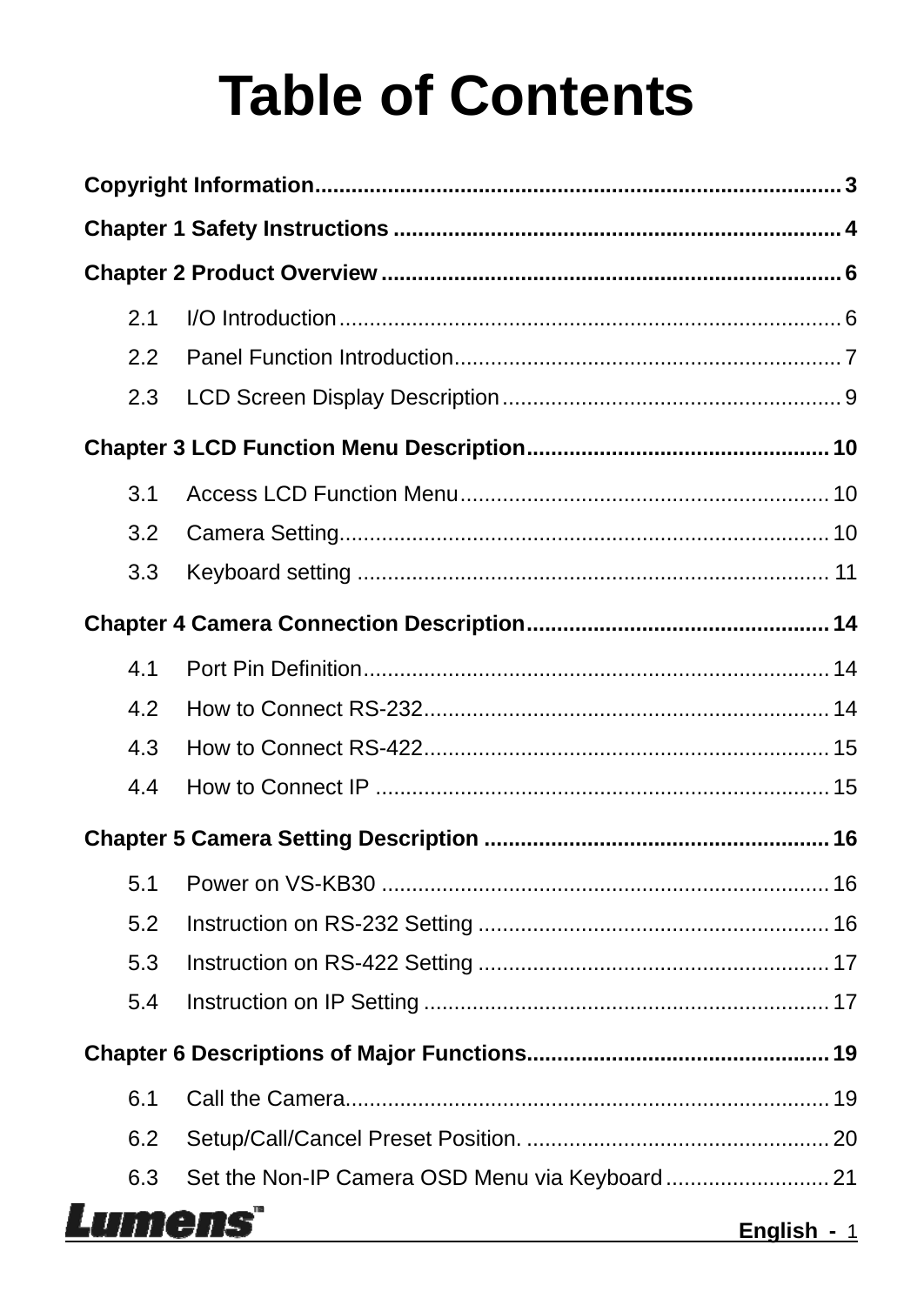# **Table of Contents**

| 2.1 |                               |
|-----|-------------------------------|
| 2.2 |                               |
| 2.3 |                               |
|     |                               |
| 3.1 |                               |
| 3.2 |                               |
| 3.3 |                               |
|     |                               |
| 4.1 |                               |
| 4.2 |                               |
| 4.3 |                               |
| 4.4 |                               |
|     |                               |
| 5.1 |                               |
| 5.2 |                               |
| 5.3 |                               |
| 5.4 |                               |
|     |                               |
| 6.1 |                               |
| 6.2 |                               |
| 6.3 |                               |
|     | umens<br><b>English</b> - $1$ |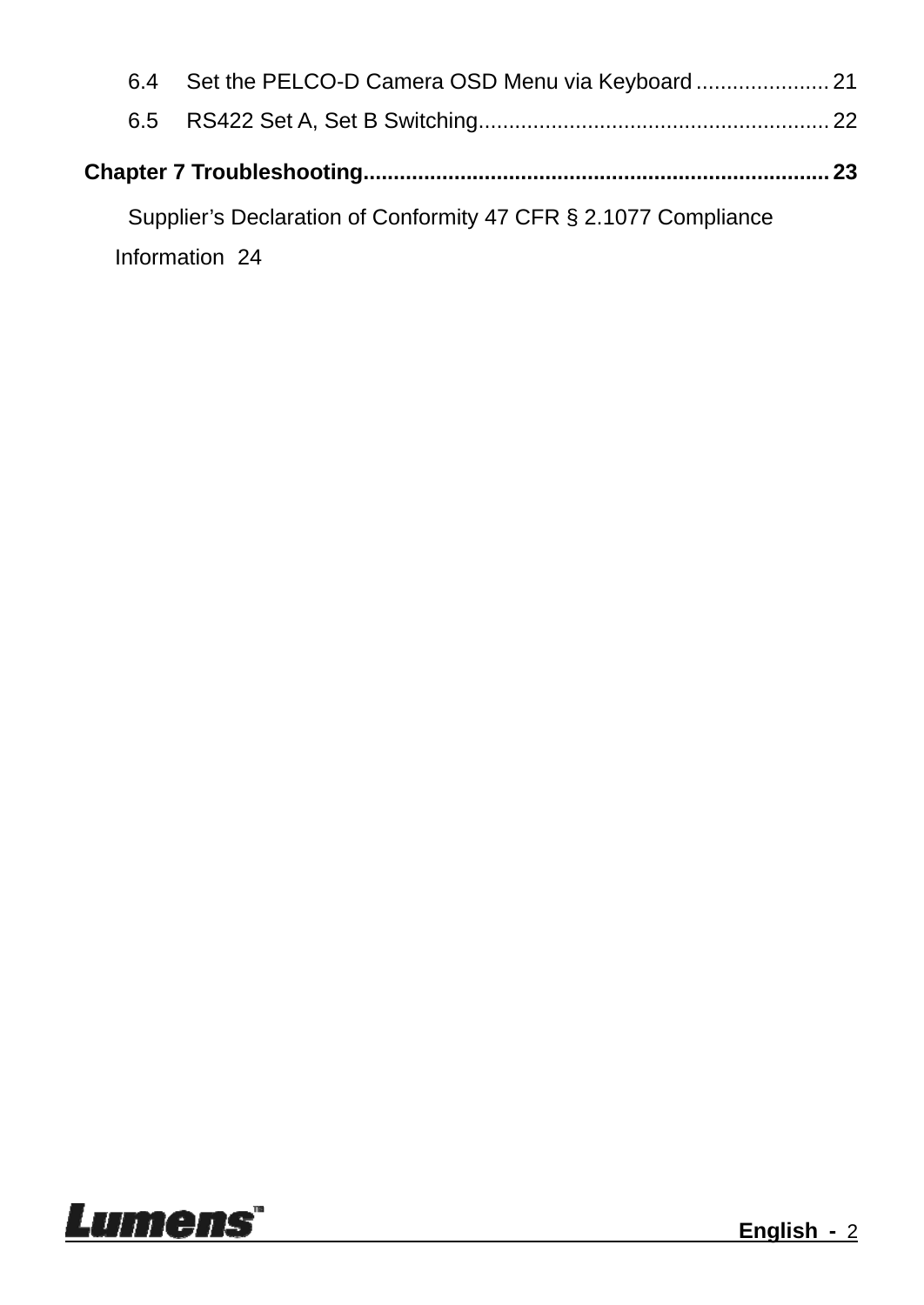| 6.4 |                                                                 |  |
|-----|-----------------------------------------------------------------|--|
|     |                                                                 |  |
|     |                                                                 |  |
|     | Supplier's Declaration of Conformity 47 CFR § 2.1077 Compliance |  |
|     | Information 24                                                  |  |

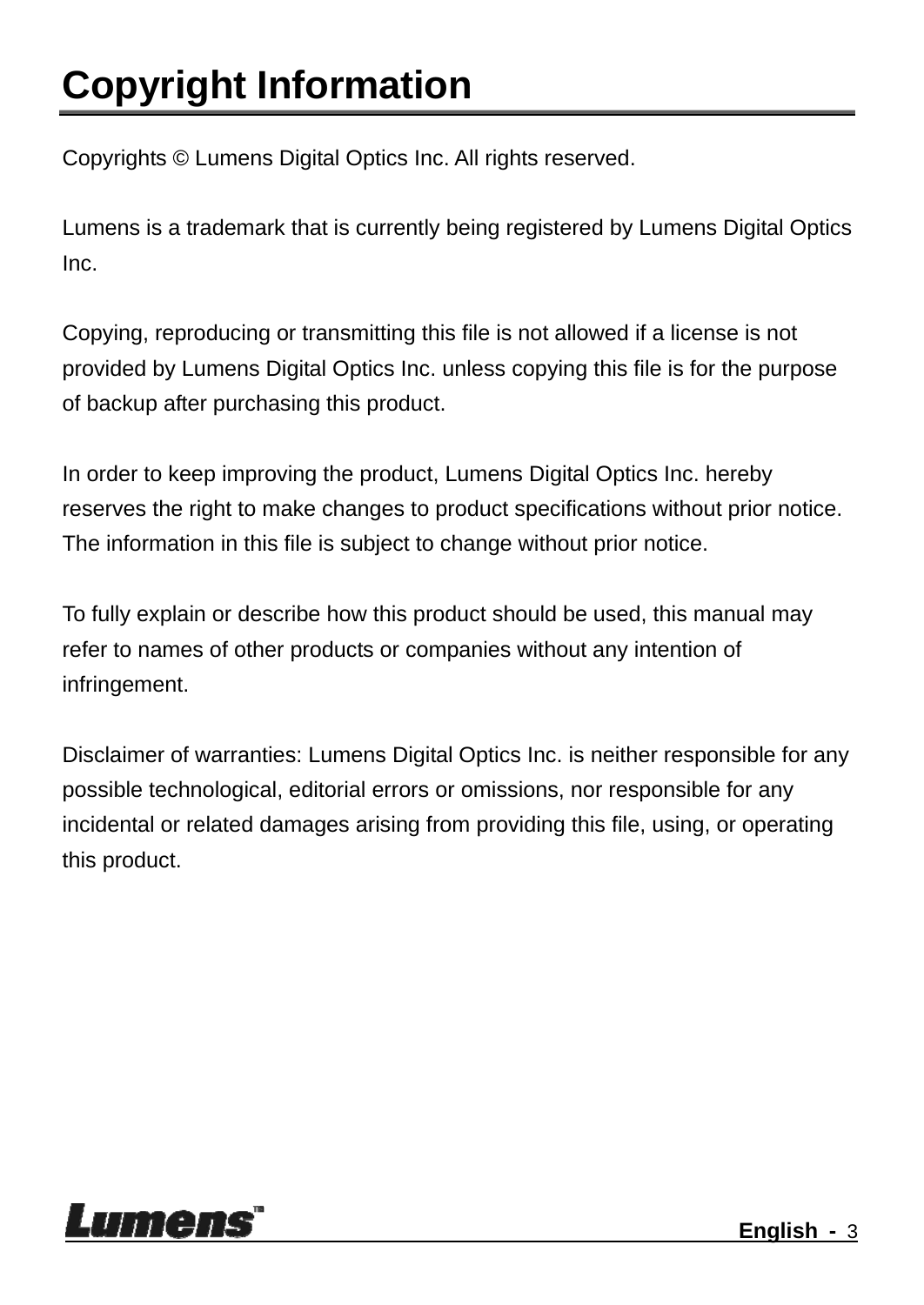## **Copyright Information**

Copyrights © Lumens Digital Optics Inc. All rights reserved.

Lumens is a trademark that is currently being registered by Lumens Digital Optics Inc.

Copying, reproducing or transmitting this file is not allowed if a license is not provided by Lumens Digital Optics Inc. unless copying this file is for the purpose of backup after purchasing this product.

In order to keep improving the product, Lumens Digital Optics Inc. hereby reserves the right to make changes to product specifications without prior notice. The information in this file is subject to change without prior notice.

To fully explain or describe how this product should be used, this manual may refer to names of other products or companies without any intention of infringement.

Disclaimer of warranties: Lumens Digital Optics Inc. is neither responsible for any possible technological, editorial errors or omissions, nor responsible for any incidental or related damages arising from providing this file, using, or operating this product.

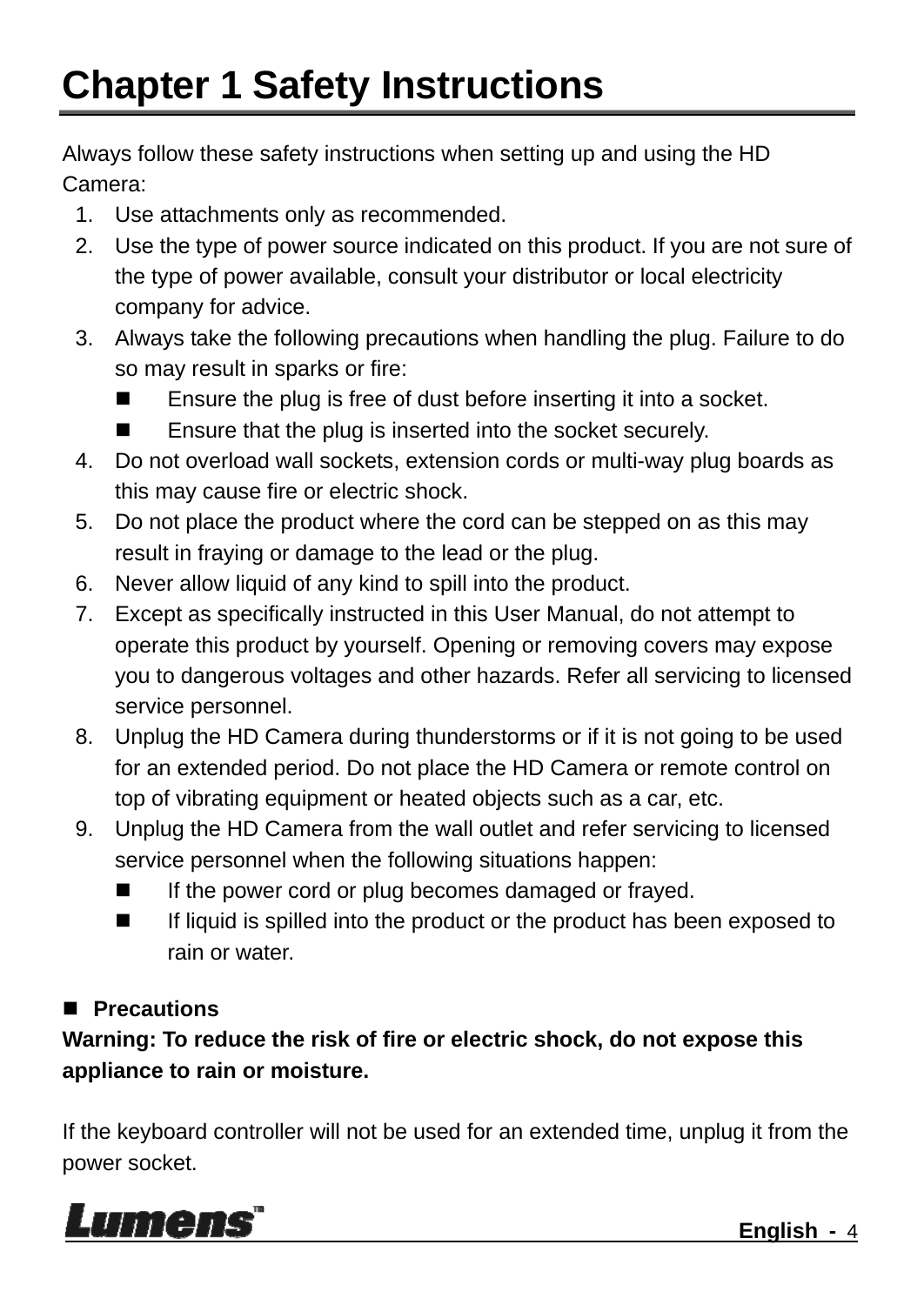### **Chapter 1 Safety Instructions**

Always follow these safety instructions when setting up and using the HD Camera:

- 1. Use attachments only as recommended.
- 2. Use the type of power source indicated on this product. If you are not sure of the type of power available, consult your distributor or local electricity company for advice.
- 3. Always take the following precautions when handling the plug. Failure to do so may result in sparks or fire:
	- Ensure the plug is free of dust before inserting it into a socket.
	- Ensure that the plug is inserted into the socket securely.
- 4. Do not overload wall sockets, extension cords or multi-way plug boards as this may cause fire or electric shock.
- 5. Do not place the product where the cord can be stepped on as this may result in fraying or damage to the lead or the plug.
- 6. Never allow liquid of any kind to spill into the product.
- 7. Except as specifically instructed in this User Manual, do not attempt to operate this product by yourself. Opening or removing covers may expose you to dangerous voltages and other hazards. Refer all servicing to licensed service personnel.
- 8. Unplug the HD Camera during thunderstorms or if it is not going to be used for an extended period. Do not place the HD Camera or remote control on top of vibrating equipment or heated objects such as a car, etc.
- 9. Unplug the HD Camera from the wall outlet and refer servicing to licensed service personnel when the following situations happen:
	- If the power cord or plug becomes damaged or frayed.
	- If liquid is spilled into the product or the product has been exposed to rain or water.

#### **Precautions**

**Warning: To reduce the risk of fire or electric shock, do not expose this appliance to rain or moisture.** 

If the keyboard controller will not be used for an extended time, unplug it from the power socket.

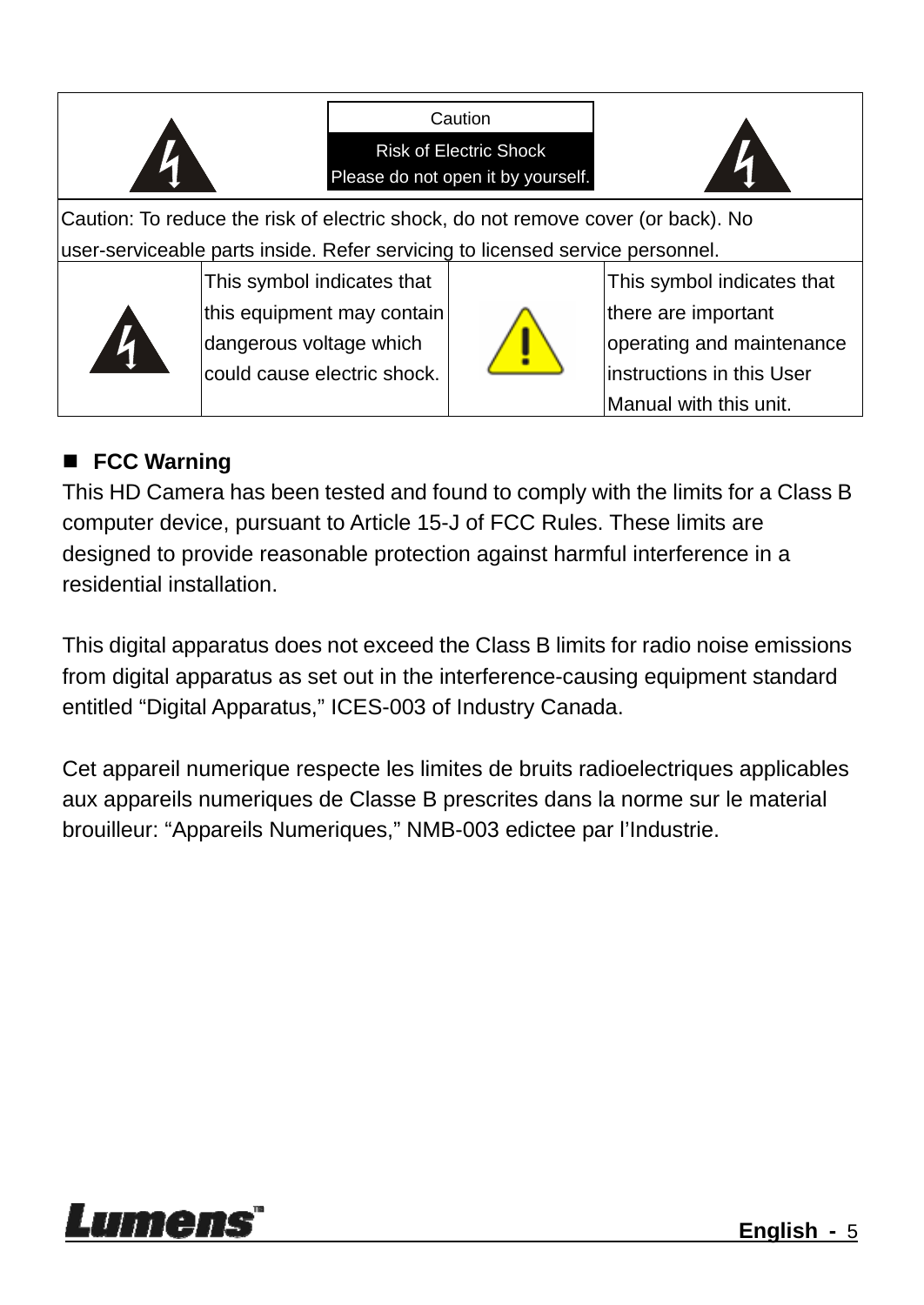

#### **FCC Warning**

This HD Camera has been tested and found to comply with the limits for a Class B computer device, pursuant to Article 15-J of FCC Rules. These limits are designed to provide reasonable protection against harmful interference in a residential installation.

This digital apparatus does not exceed the Class B limits for radio noise emissions from digital apparatus as set out in the interference-causing equipment standard entitled "Digital Apparatus," ICES-003 of Industry Canada.

Cet appareil numerique respecte les limites de bruits radioelectriques applicables aux appareils numeriques de Classe B prescrites dans la norme sur le material brouilleur: "Appareils Numeriques," NMB-003 edictee par l'Industrie.

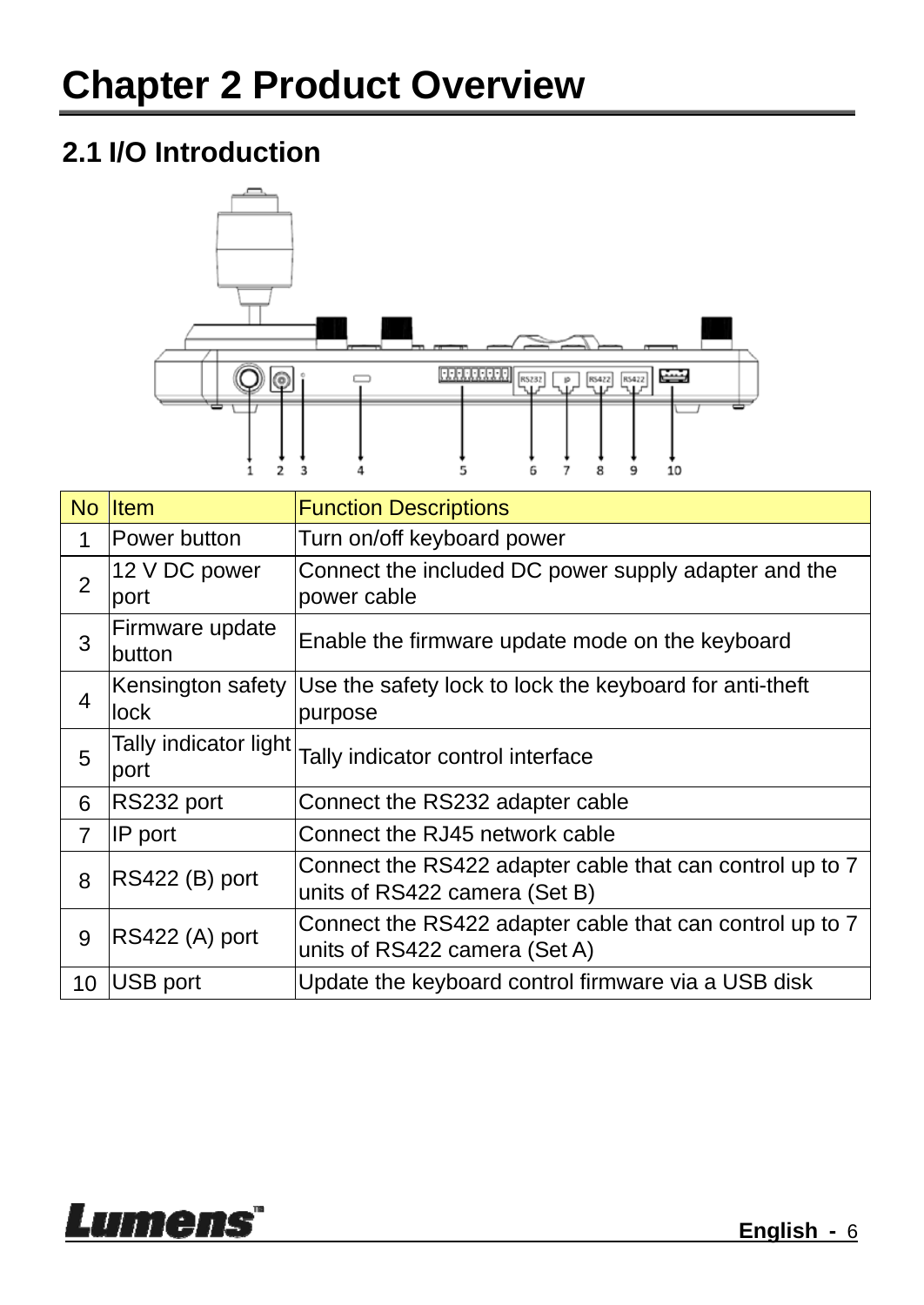#### **2.1 I/O Introduction**



| No             | <b>I</b> tem                  | <b>Function Descriptions</b>                                                              |
|----------------|-------------------------------|-------------------------------------------------------------------------------------------|
| 1              | lPower button                 | Turn on/off keyboard power                                                                |
| $\overline{2}$ | 12 V DC power<br>port         | Connect the included DC power supply adapter and the<br>power cable                       |
| 3              | Firmware update<br>button     | Enable the firmware update mode on the keyboard                                           |
| 4              | Kensington safety<br>lock     | Use the safety lock to lock the keyboard for anti-theft<br>purpose                        |
| 5              | Tally indicator light<br>port | Tally indicator control interface                                                         |
| 6              | RS232 port                    | Connect the RS232 adapter cable                                                           |
| $\overline{7}$ | IP port                       | Connect the RJ45 network cable                                                            |
| 8              | RS422 (B) port                | Connect the RS422 adapter cable that can control up to 7<br>units of RS422 camera (Set B) |
| 9              | RS422 (A) port                | Connect the RS422 adapter cable that can control up to 7<br>units of RS422 camera (Set A) |
| 10             | USB port                      | Update the keyboard control firmware via a USB disk                                       |

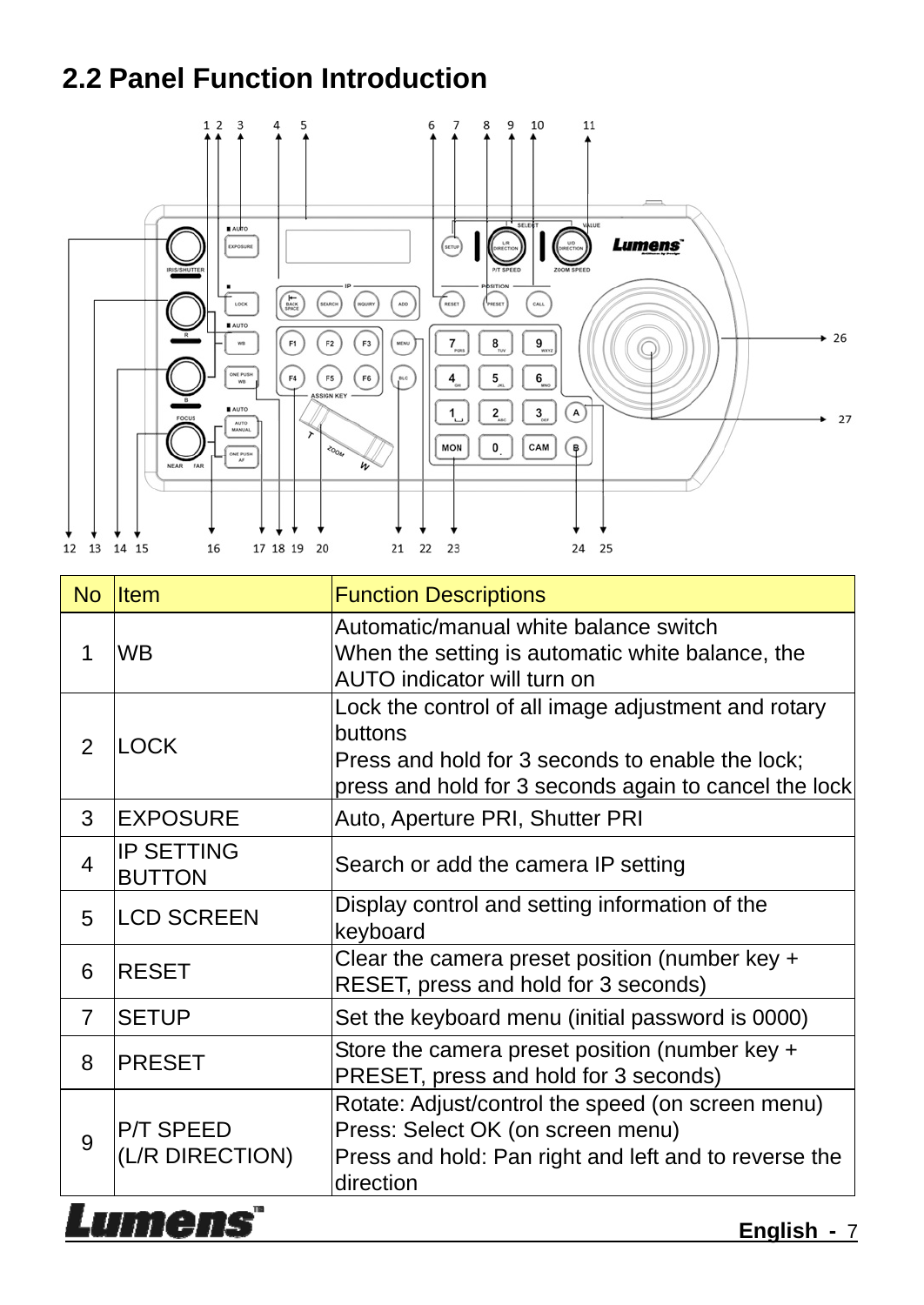#### **2.2 Panel Function Introduction**



| <b>No</b>      | <b>Item</b>                        | <b>Function Descriptions</b>                                                                                                                                                |  |
|----------------|------------------------------------|-----------------------------------------------------------------------------------------------------------------------------------------------------------------------------|--|
| 1              | <b>WB</b>                          | Automatic/manual white balance switch<br>When the setting is automatic white balance, the<br>AUTO indicator will turn on                                                    |  |
| 2              | <b>LOCK</b>                        | Lock the control of all image adjustment and rotary<br>buttons<br>Press and hold for 3 seconds to enable the lock;<br>press and hold for 3 seconds again to cancel the lock |  |
| 3              | <b>EXPOSURE</b>                    | Auto, Aperture PRI, Shutter PRI                                                                                                                                             |  |
| 4              | <b>IP SETTING</b><br><b>BUTTON</b> | Search or add the camera IP setting                                                                                                                                         |  |
| 5              | <b>LCD SCREEN</b>                  | Display control and setting information of the<br>keyboard                                                                                                                  |  |
| 6              | <b>RESET</b>                       | Clear the camera preset position (number key $+$<br>RESET, press and hold for 3 seconds)                                                                                    |  |
| $\overline{7}$ | <b>SETUP</b>                       | Set the keyboard menu (initial password is 0000)                                                                                                                            |  |
| 8              | <b>PRESET</b>                      | Store the camera preset position (number key +<br>PRESET, press and hold for 3 seconds)                                                                                     |  |
| 9              | P/T SPEED<br>(L/R DIRECTION)       | Rotate: Adjust/control the speed (on screen menu)<br>Press: Select OK (on screen menu)<br>Press and hold: Pan right and left and to reverse the<br>direction                |  |
|                | TT E<br><b>English</b> - 7         |                                                                                                                                                                             |  |

**English -** 7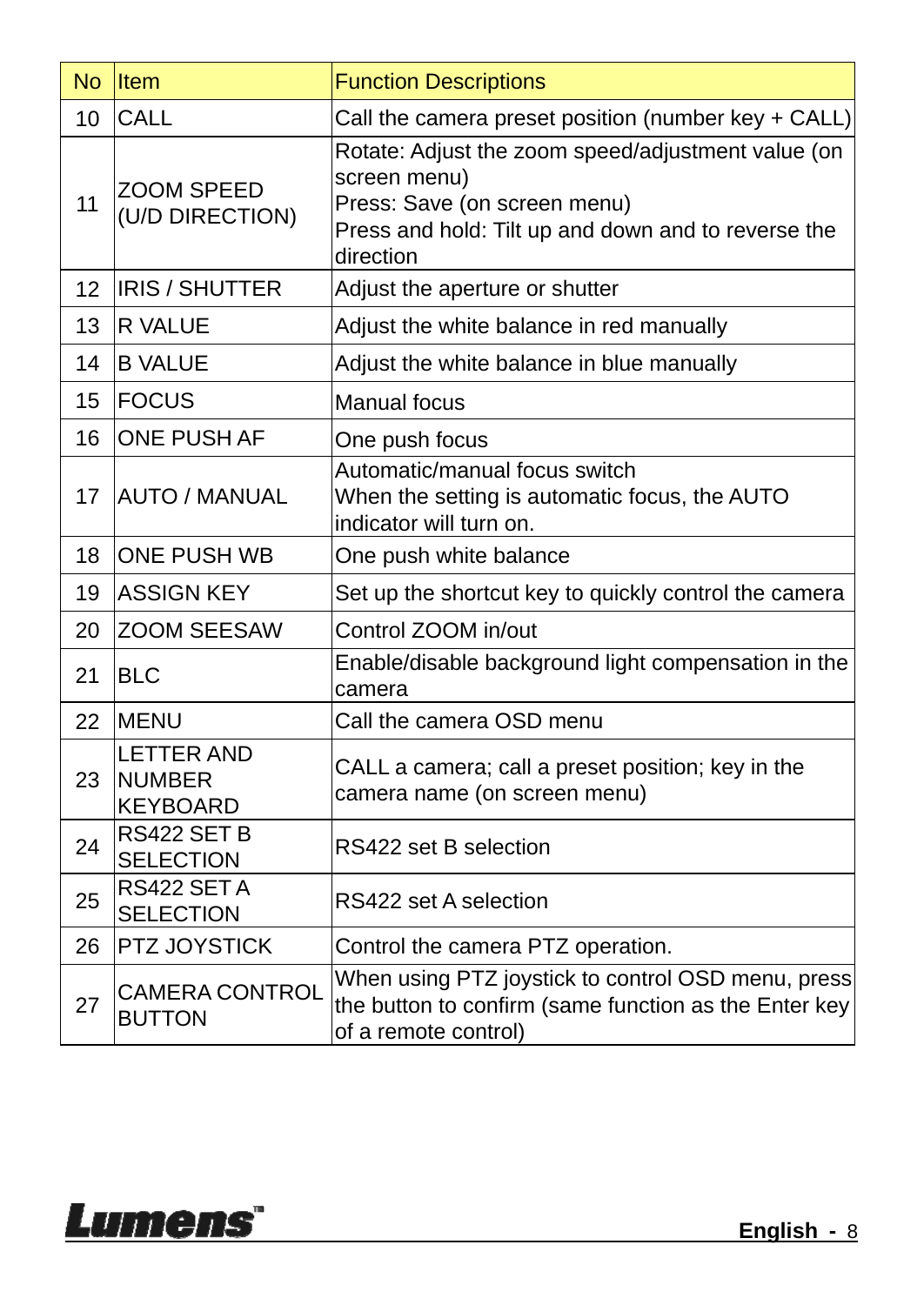|    | No Item                                               | <b>Function Descriptions</b>                                                                                                                                           |
|----|-------------------------------------------------------|------------------------------------------------------------------------------------------------------------------------------------------------------------------------|
| 10 | <b>CALL</b>                                           | Call the camera preset position (number key + CALL)                                                                                                                    |
| 11 | ZOOM SPEED<br>(U/D DIRECTION)                         | Rotate: Adjust the zoom speed/adjustment value (on<br>screen menu)<br>Press: Save (on screen menu)<br>Press and hold: Tilt up and down and to reverse the<br>direction |
| 12 | <b>IRIS / SHUTTER</b>                                 | Adjust the aperture or shutter                                                                                                                                         |
| 13 | R VALUE                                               | Adjust the white balance in red manually                                                                                                                               |
| 14 | <b>B VALUE</b>                                        | Adjust the white balance in blue manually                                                                                                                              |
| 15 | <b>FOCUS</b>                                          | <b>Manual focus</b>                                                                                                                                                    |
| 16 | ONE PUSH AF                                           | One push focus                                                                                                                                                         |
| 17 | <b>AUTO / MANUAL</b>                                  | Automatic/manual focus switch<br>When the setting is automatic focus, the AUTO<br>indicator will turn on.                                                              |
| 18 | <b>ONE PUSH WB</b>                                    | One push white balance                                                                                                                                                 |
| 19 | <b>ASSIGN KEY</b>                                     | Set up the shortcut key to quickly control the camera                                                                                                                  |
| 20 | <b>ZOOM SEESAW</b>                                    | Control ZOOM in/out                                                                                                                                                    |
| 21 | <b>BLC</b>                                            | Enable/disable background light compensation in the<br>camera                                                                                                          |
| 22 | MENU                                                  | Call the camera OSD menu                                                                                                                                               |
| 23 | <b>LETTER AND</b><br><b>NUMBER</b><br><b>KEYBOARD</b> | CALL a camera; call a preset position; key in the<br>camera name (on screen menu)                                                                                      |
| 24 | RS422 SET B<br><b>SELECTION</b>                       | RS422 set B selection                                                                                                                                                  |
| 25 | RS422 SET A<br><b>SELECTION</b>                       | RS422 set A selection                                                                                                                                                  |
| 26 | PTZ JOYSTICK                                          | Control the camera PTZ operation.                                                                                                                                      |
| 27 | <b>CAMERA CONTROL</b><br><b>BUTTON</b>                | When using PTZ joystick to control OSD menu, press<br>the button to confirm (same function as the Enter key<br>of a remote control)                                    |

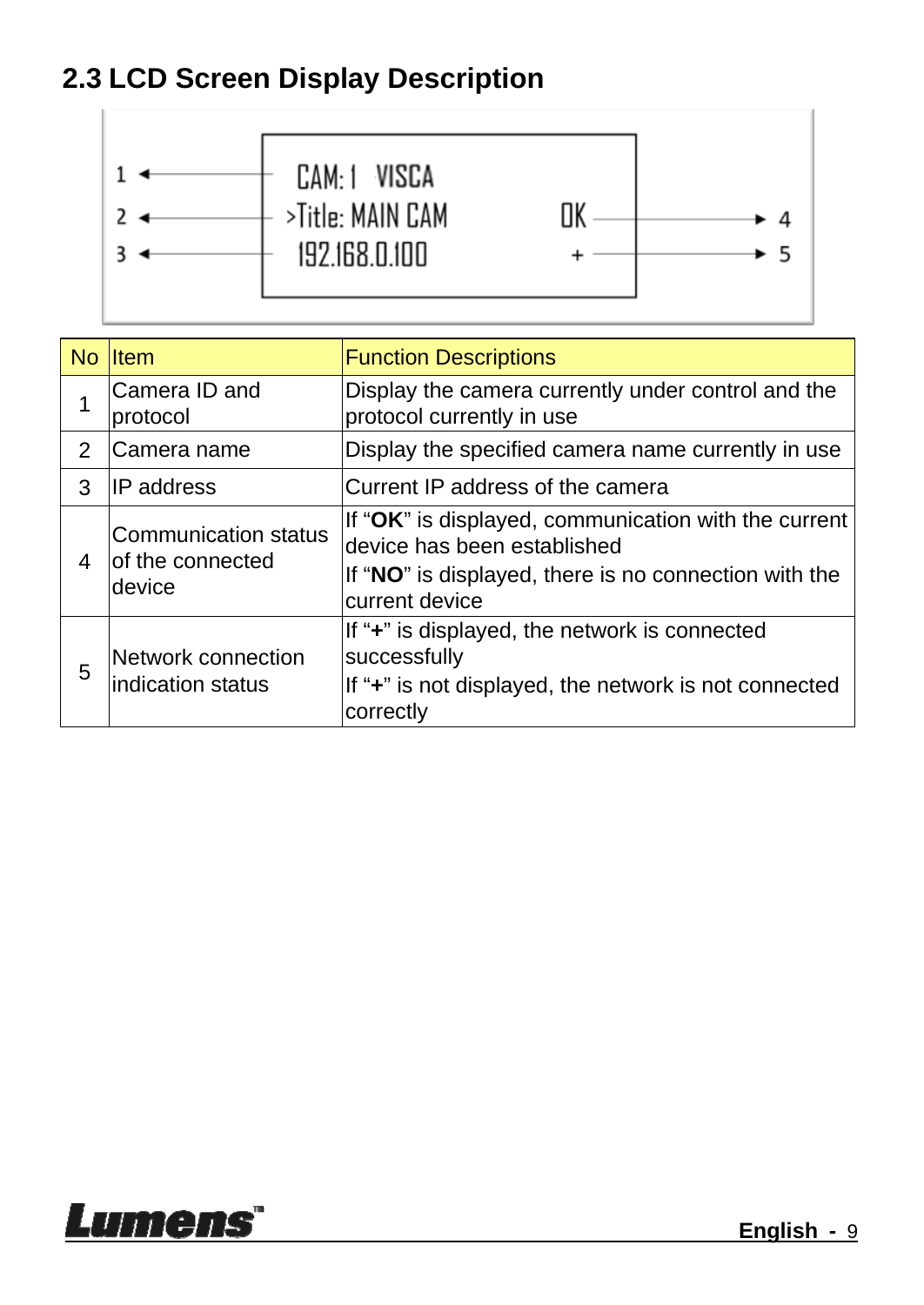#### **2.3 LCD Screen Display Description**



|   | No Item                                             | <b>Function Descriptions</b>                                                                                                                                   |
|---|-----------------------------------------------------|----------------------------------------------------------------------------------------------------------------------------------------------------------------|
|   | Camera ID and<br>protocol                           | Display the camera currently under control and the<br>protocol currently in use                                                                                |
| 2 | lCamera name                                        | Display the specified camera name currently in use                                                                                                             |
| 3 | <b>IP</b> address                                   | Current IP address of the camera                                                                                                                               |
| 4 | Communication status<br>lof the connected<br>device | If "OK" is displayed, communication with the current<br>device has been established<br>If "NO" is displayed, there is no connection with the<br>current device |
| 5 | Network connection<br>lindication status            | If "+" is displayed, the network is connected<br>successfully<br>If "+" is not displayed, the network is not connected<br>correctly                            |

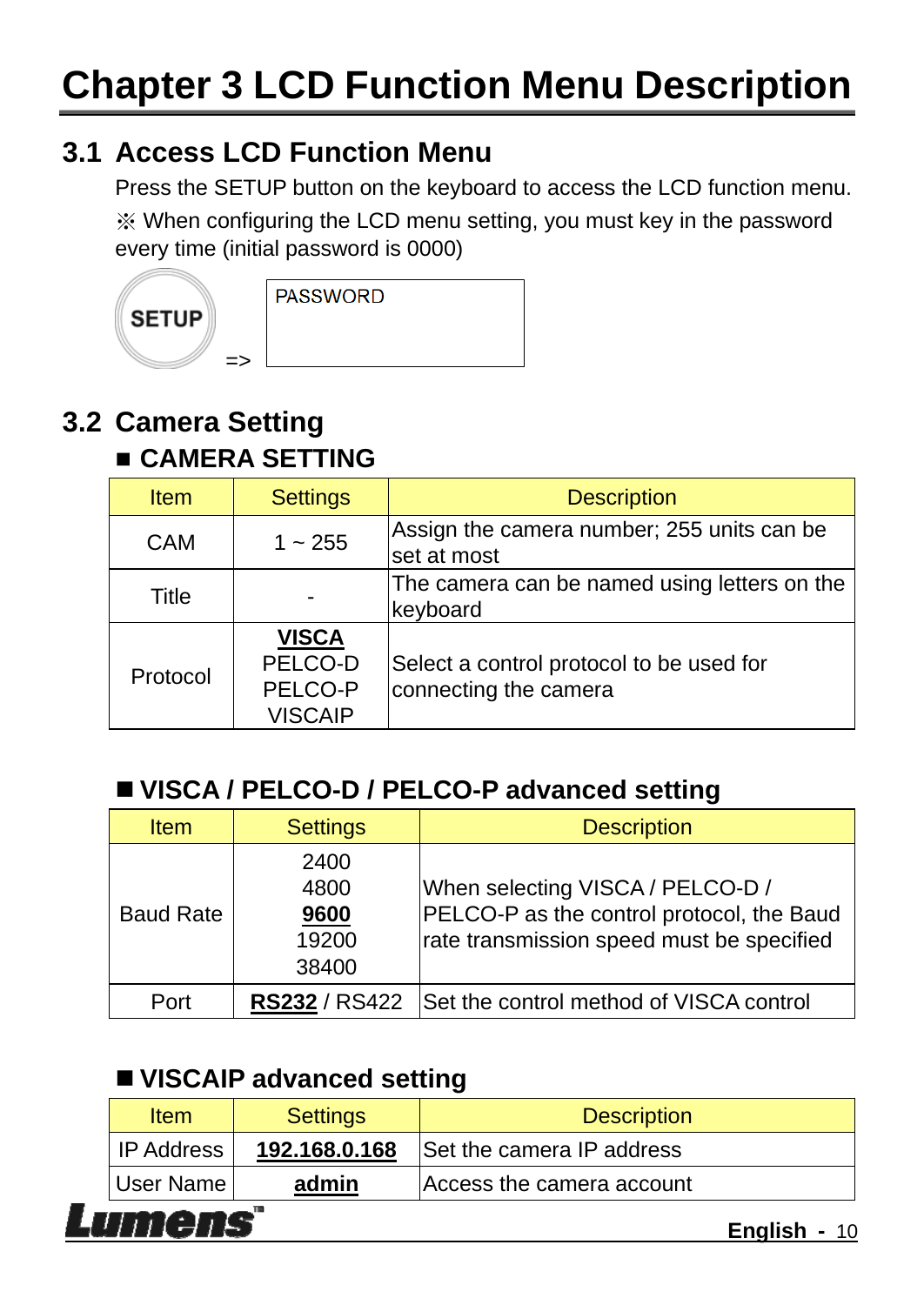#### **3.1 Access LCD Function Menu**

Press the SETUP button on the keyboard to access the LCD function menu. ※ When configuring the LCD menu setting, you must key in the password every time (initial password is 0000)



```
PASSWORD
```
### **3.2 Camera Setting**

#### **CAMERA SETTING**

 $\Rightarrow$ 

| <b>Item</b> | <b>Settings</b>                                      | <b>Description</b>                                                |
|-------------|------------------------------------------------------|-------------------------------------------------------------------|
| <b>CAM</b>  | $1 - 255$                                            | Assign the camera number; 255 units can be<br>set at most         |
| Title       |                                                      | The camera can be named using letters on the<br>keyboard          |
| Protocol    | <b>VISCA</b><br>PELCO-D<br>PELCO-P<br><b>VISCAIP</b> | Select a control protocol to be used for<br>connecting the camera |

#### ■ VISCA / PELCO-D / PELCO-P advanced setting

| <b>Item</b>      | <b>Settings</b>                        | <b>Description</b>                                                                                                         |
|------------------|----------------------------------------|----------------------------------------------------------------------------------------------------------------------------|
| <b>Baud Rate</b> | 2400<br>4800<br>9600<br>19200<br>38400 | When selecting VISCA / PELCO-D /<br>PELCO-P as the control protocol, the Baud<br>rate transmission speed must be specified |
| Port             | <b>RS232 / RS422</b>                   | Set the control method of VISCA control                                                                                    |

#### **VISCAIP advanced setting**

| Item                        | <b>Settings</b> | <b>Description</b>        |  |  |
|-----------------------------|-----------------|---------------------------|--|--|
| I IP Address                | 192.168.0.168   | Set the camera IP address |  |  |
| User Name                   | admin           | Access the camera account |  |  |
| mens<br><b>English - 10</b> |                 |                           |  |  |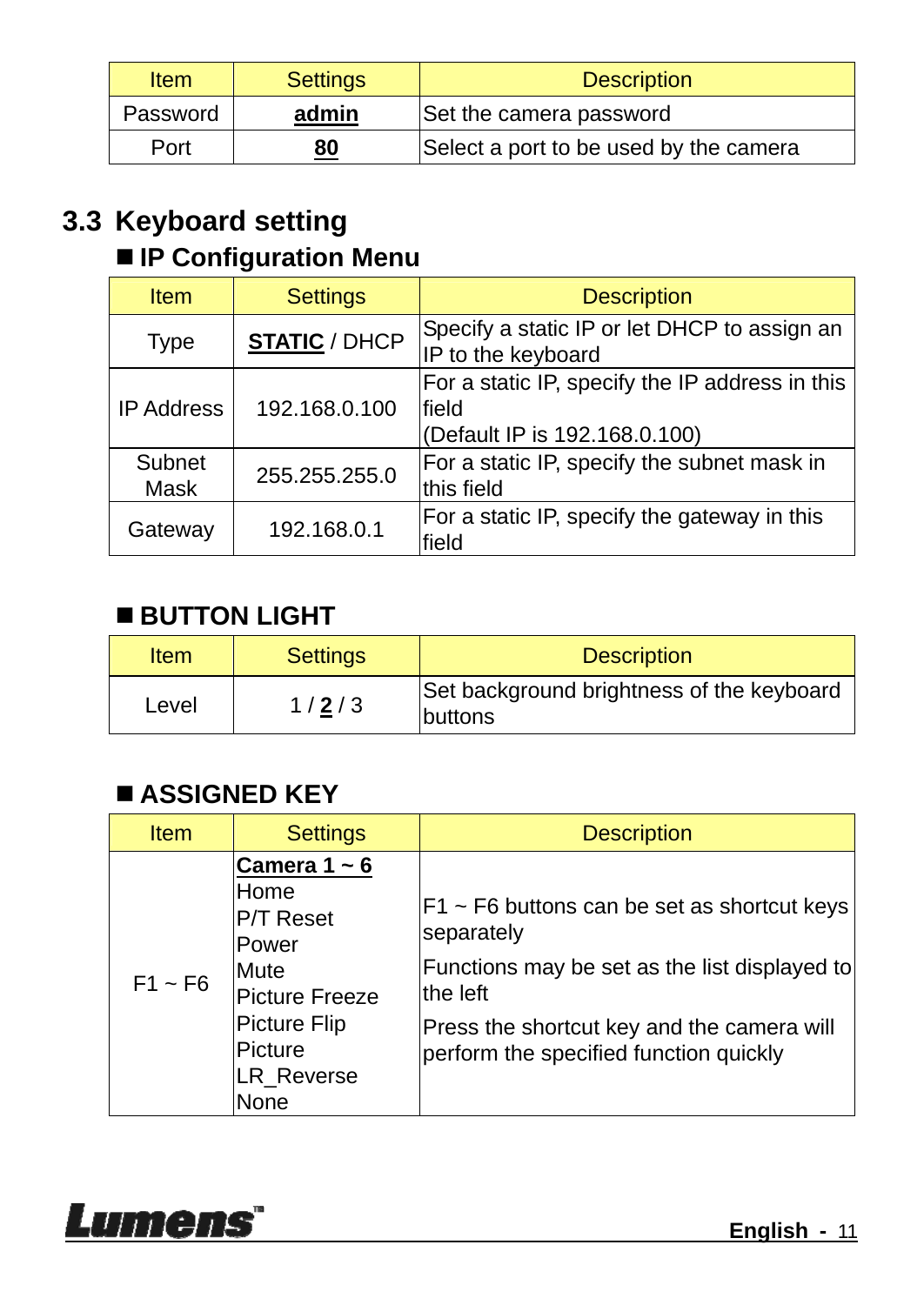| <b>Item</b> | <b>Settings</b> | <b>Description</b>                     |
|-------------|-----------------|----------------------------------------|
| Password    | admin           | Set the camera password                |
| Port        | 80              | Select a port to be used by the camera |

#### **3.3 Keyboard setting**

#### **IP Configuration Menu**

| <b>Item</b>       | <b>Settings</b>      | <b>Description</b>                                                                         |
|-------------------|----------------------|--------------------------------------------------------------------------------------------|
| <b>Type</b>       | <b>STATIC / DHCP</b> | Specify a static IP or let DHCP to assign an<br>IP to the keyboard                         |
| <b>IP Address</b> | 192.168.0.100        | For a static IP, specify the IP address in this<br>lfield<br>(Default IP is 192.168.0.100) |
| Subnet<br>Mask    | 255.255.255.0        | For a static IP, specify the subnet mask in<br>this field                                  |
| Gateway           | 192.168.0.1          | For a static IP, specify the gateway in this<br>field                                      |

#### **BUTTON LIGHT**

| Item  | <b>Settings</b> | <b>Description</b>                                           |
|-------|-----------------|--------------------------------------------------------------|
| Level | 1/2/3           | Set background brightness of the keyboard<br><b>Ibuttons</b> |

#### **ASSIGNED KEY**

| <b>Item</b>  | <b>Settings</b>                                                                                                                       | <b>Description</b>                                                                                                                                                                                                   |
|--------------|---------------------------------------------------------------------------------------------------------------------------------------|----------------------------------------------------------------------------------------------------------------------------------------------------------------------------------------------------------------------|
| $F1 \sim F6$ | Camera $1 - 6$<br>Home<br><b>P/T Reset</b><br>Power<br>Mute<br><b>Picture Freeze</b><br>Picture Flip<br>Picture<br>LR Reverse<br>None | $ F1 \sim F6$ buttons can be set as shortcut keys<br>separately<br>Functions may be set as the list displayed to<br>the left<br>Press the shortcut key and the camera will<br>perform the specified function quickly |

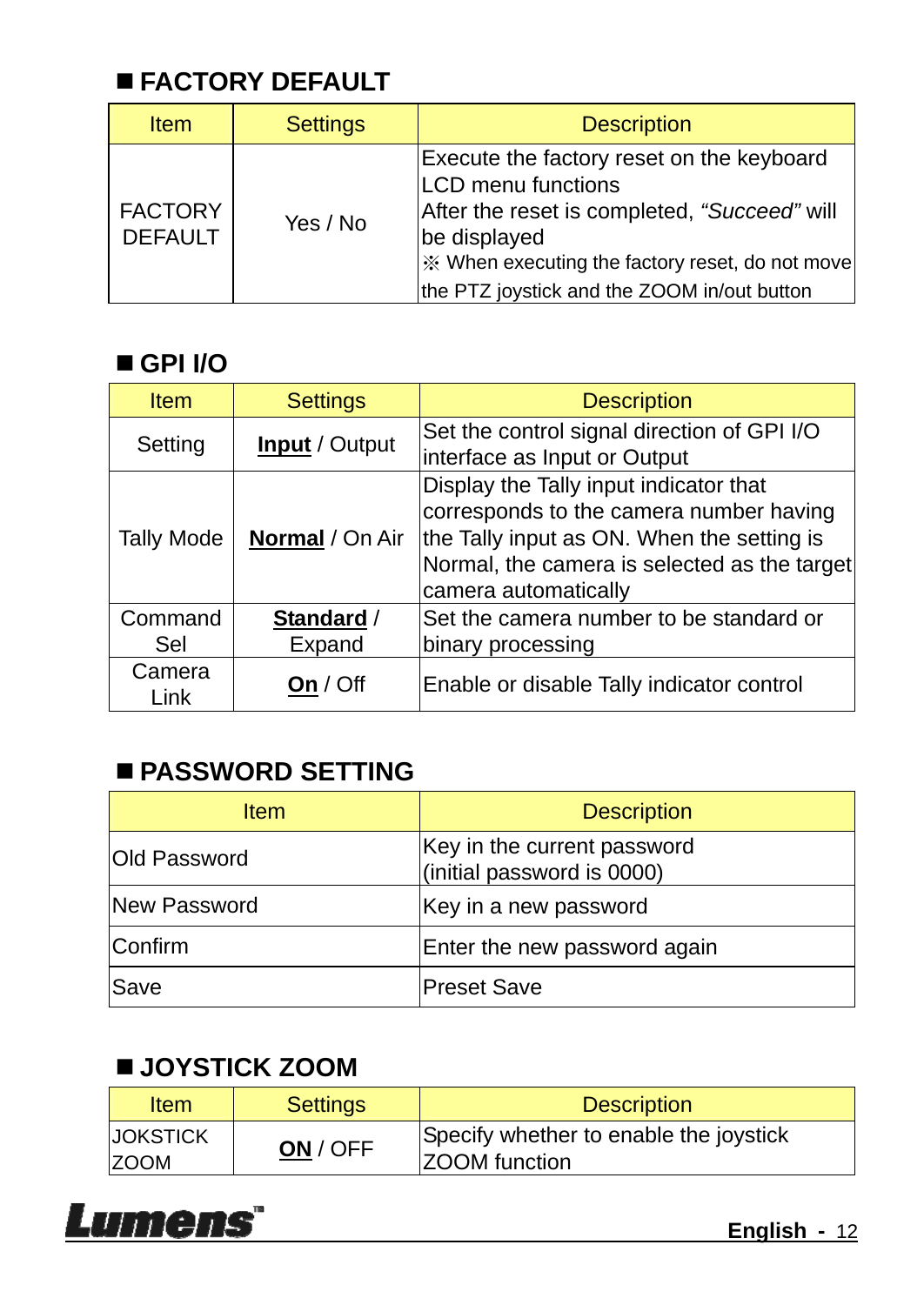#### **FACTORY DEFAULT**

| <b>Item</b>                      | <b>Settings</b> | <b>Description</b>                                                                                                                                                                                                                                    |
|----------------------------------|-----------------|-------------------------------------------------------------------------------------------------------------------------------------------------------------------------------------------------------------------------------------------------------|
| <b>FACTORY</b><br><b>DEFAULT</b> | Yes / No        | Execute the factory reset on the keyboard<br><b>LCD</b> menu functions<br>After the reset is completed, "Succeed" will<br>be displayed<br>i <sup>‰</sup> When executing the factory reset, do not move<br>the PTZ joystick and the ZOOM in/out button |

#### ■ GPI *I/O*

| <b>Item</b>       | <b>Settings</b>       | <b>Description</b>                                                                                                                                                                                      |
|-------------------|-----------------------|---------------------------------------------------------------------------------------------------------------------------------------------------------------------------------------------------------|
| Setting           | <b>Input</b> / Output | Set the control signal direction of GPI I/O<br>interface as Input or Output                                                                                                                             |
| <b>Tally Mode</b> | Normal / On Air       | Display the Tally input indicator that<br>corresponds to the camera number having<br>the Tally input as ON. When the setting is<br>Normal, the camera is selected as the target<br>camera automatically |
| Command<br>Sel    | Standard /<br>Expand  | Set the camera number to be standard or<br>binary processing                                                                                                                                            |
| Camera<br>Link    | Off                   | Enable or disable Tally indicator control                                                                                                                                                               |

#### **PASSWORD SETTING**

| <b>Item</b>  | <b>Description</b>                                        |  |  |
|--------------|-----------------------------------------------------------|--|--|
| Old Password | Key in the current password<br>(initial password is 0000) |  |  |
| New Password | Key in a new password                                     |  |  |
| Confirm      | Enter the new password again                              |  |  |
| Save         | <b>Preset Save</b>                                        |  |  |

#### **JOYSTICK ZOOM**

| <b>Item</b>                     | <b>Settings</b> | <b>Description</b>                                             |
|---------------------------------|-----------------|----------------------------------------------------------------|
| <b>IJOKSTICK</b><br><b>ZOOM</b> | ON / OFF        | Specify whether to enable the joystick<br><b>ZOOM</b> function |

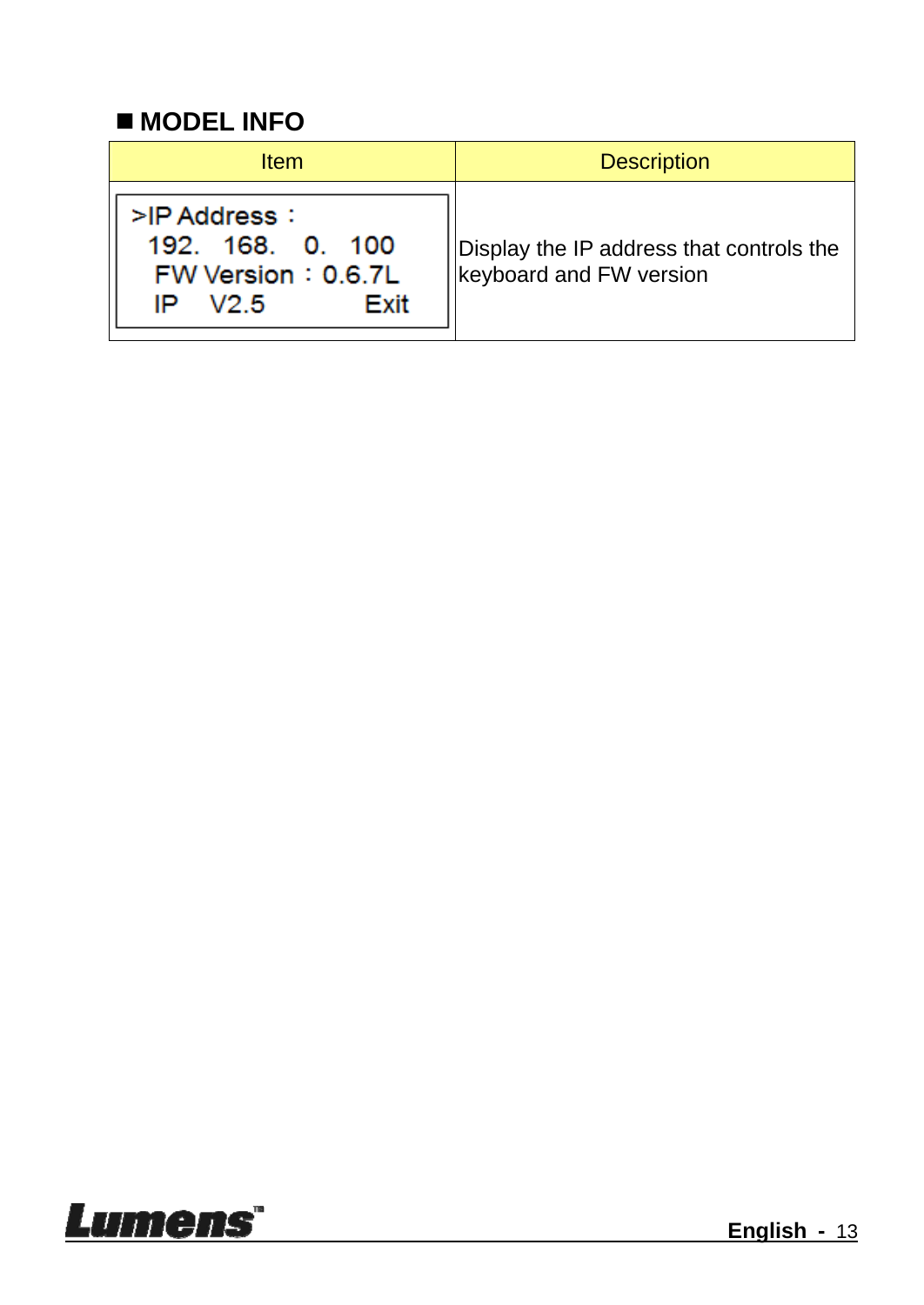#### ■ **MODEL INFO**

| <b>Item</b>                                                                  | <b>Description</b>                                                          |
|------------------------------------------------------------------------------|-----------------------------------------------------------------------------|
| >IP Address:<br>192, 168, 0, 100<br>FW Version: 0.6.7L<br>Exit<br>V2.5<br>IP | Display the IP address that controls the<br><b>Ikeyboard and FW version</b> |

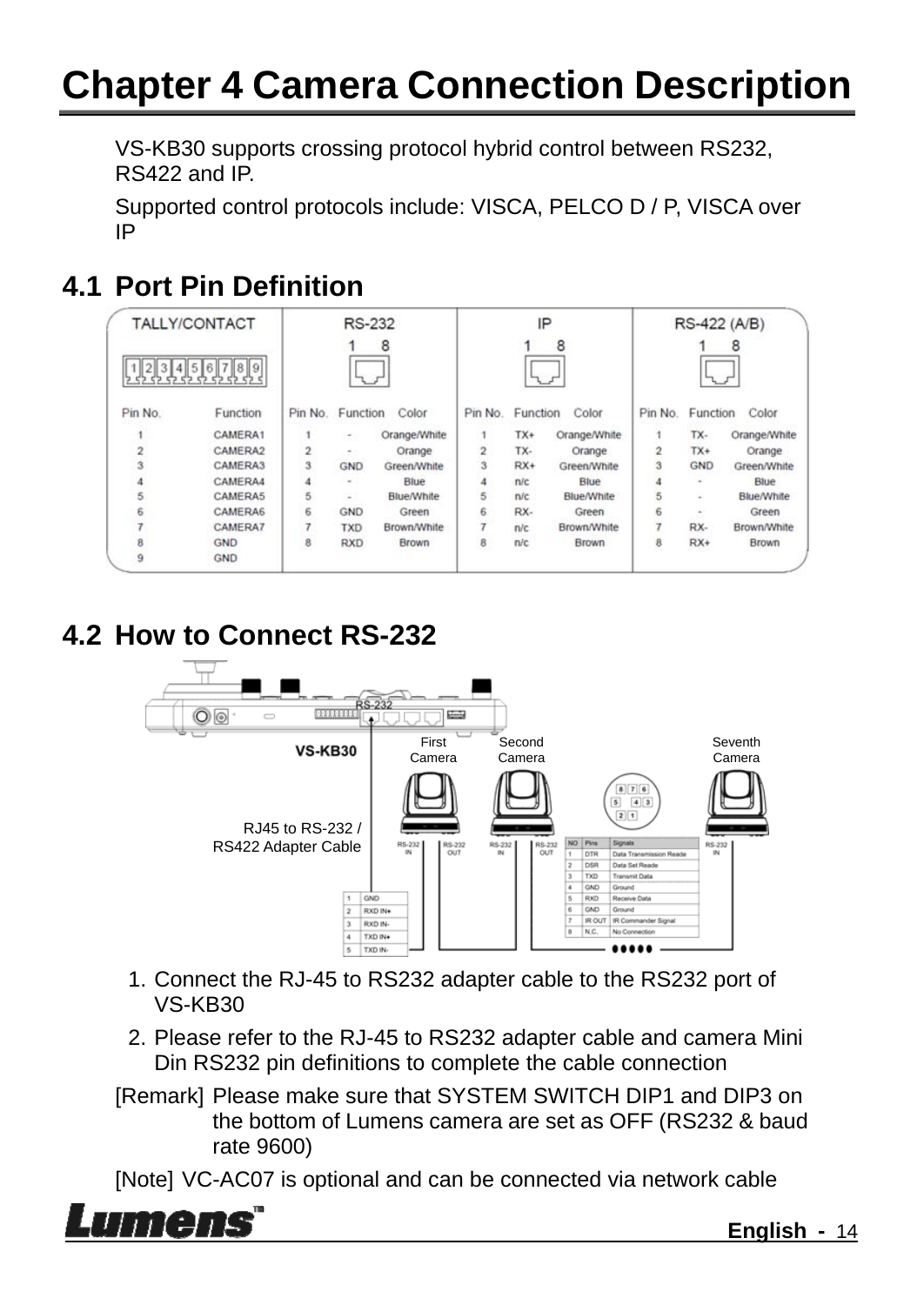### **Chapter 4 Camera Connection Description**

VS-KB30 supports crossing protocol hybrid control between RS232, RS422 and IP.

Supported control protocols include: VISCA, PELCO D / P, VISCA over IP

#### **4.1 Port Pin Definition**

| TALLY/CONTACT           |                                            | <b>RS-232</b>           |            | IP           |                |          | RS-422 (A/B) |                |            |                   |
|-------------------------|--------------------------------------------|-------------------------|------------|--------------|----------------|----------|--------------|----------------|------------|-------------------|
|                         | 2 3 4 5 6 7 8 9<br>לא לא לא לא לא לא לא לא |                         |            | 8            |                |          | 8            |                |            | 8                 |
| Pin No.                 | Function                                   | Pin No.                 | Function   | Color        | Pin No.        | Function | Color        | Pin No.        | Function   | Color             |
|                         | CAMERA1                                    |                         | ۰          | Orange/White |                | $TX+$    | Orange/White |                | TX-        | Orange/White      |
| $\overline{2}$          | CAMERA2                                    | $\overline{2}$          | ۰          | Orange       | $\overline{2}$ | TX-      | Orange       | $\overline{2}$ | $TX+$      | Orange            |
| $\overline{\mathbf{3}}$ | CAMERA3                                    | $\overline{\mathbf{3}}$ | <b>GND</b> | Green/White  | 3              | $RX+$    | Green/White  | 3              | <b>GND</b> | Green/White       |
|                         | CAMERA4                                    | 4                       | ۰          | Blue         | 4              | n/c      | Blue         |                | ×          | Blue              |
| 5                       | CAMERA5                                    | 5                       | ×          | Blue/White   | 5              | n/c      | Blue/White   | 5              | ×.         | <b>Blue/White</b> |
| ĥ                       | CAMERA6                                    | 6                       | <b>GND</b> | Green        | 6              | RX-      | Green        | 6              | $\sim$     | Green             |
|                         | CAMERA7                                    | 7                       | <b>TXD</b> | Brown/White  | ÷              | n/c      | Brown/White  |                | RX-        | Brown/White       |
| 8                       | <b>GND</b>                                 | 8                       | <b>RXD</b> | Brown        | 8              | n/c      | Brown        | 8              | $RX+$      | Brown             |
| 9                       | GND                                        |                         |            |              |                |          |              |                |            |                   |

#### **4.2 How to Connect RS-232**



- 1. Connect the RJ-45 to RS232 adapter cable to the RS232 port of VS-KB30
- 2. Please refer to the RJ-45 to RS232 adapter cable and camera Mini Din RS232 pin definitions to complete the cable connection
- [Remark] Please make sure that SYSTEM SWITCH DIP1 and DIP3 on the bottom of Lumens camera are set as OFF (RS232 & baud rate 9600)

[Note] VC-AC07 is optional and can be connected via network cable

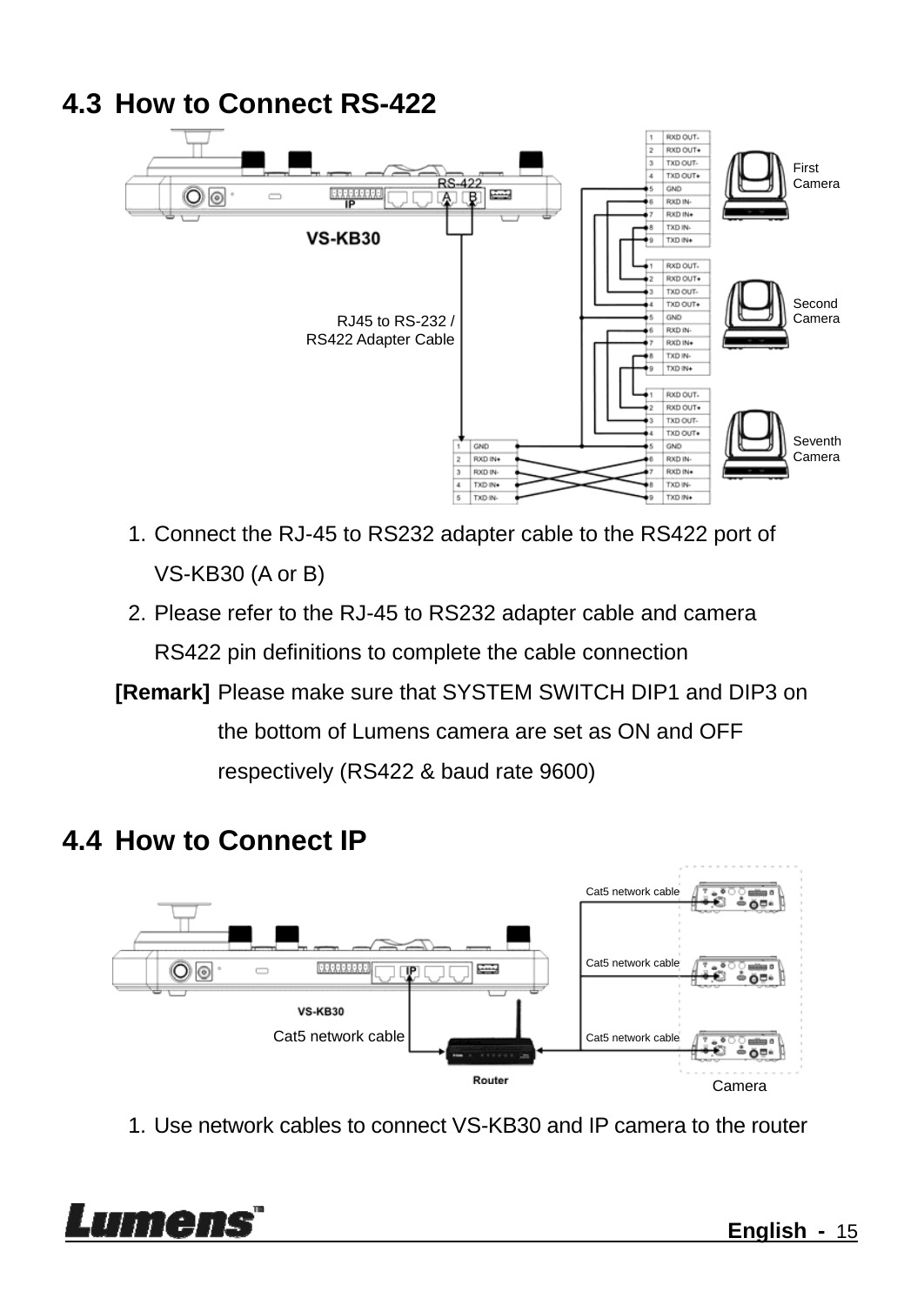#### **4.3 How to Connect RS-422**  RXD OUT.  $\overline{z}$ RXD OUT+ TXD OUT-First TXD OUT+ T Camera  $cos<sub>1</sub>$  $\overline{\mathbb{O}}\,\overline{\mathbb{O}}$ **REFERE RXD IN** RXD IN+ TXD IN **VS-KB30** TXD IN RXD OUT RXD OUT+ TXD OUT TYD OUTA Second GND Camera RJ45 to RS-232 / **RXD IN** RS422 Adapter Cable RXD IN4 TXD IN TYP BL **BYD OUT.** PYD OUTA  $T X D Q E T$ TXD OUT+ Seventh  $CMD$  $GMD$ Camera 5 **RXD IN RXD IN**  $\overline{3}$ **RXD IN** RXD IN **TXD IN** TXD IN  $\frac{1}{5}$ TXD IN TXD IN+

1. Connect the RJ-45 to RS232 adapter cable to the RS422 port of VS-KB30 (A or B)

2. Please refer to the RJ-45 to RS232 adapter cable and camera RS422 pin definitions to complete the cable connection

**[Remark]** Please make sure that SYSTEM SWITCH DIP1 and DIP3 on the bottom of Lumens camera are set as ON and OFF respectively (RS422 & baud rate 9600)

#### **4.4 How to Connect IP**



1. Use network cables to connect VS-KB30 and IP camera to the router

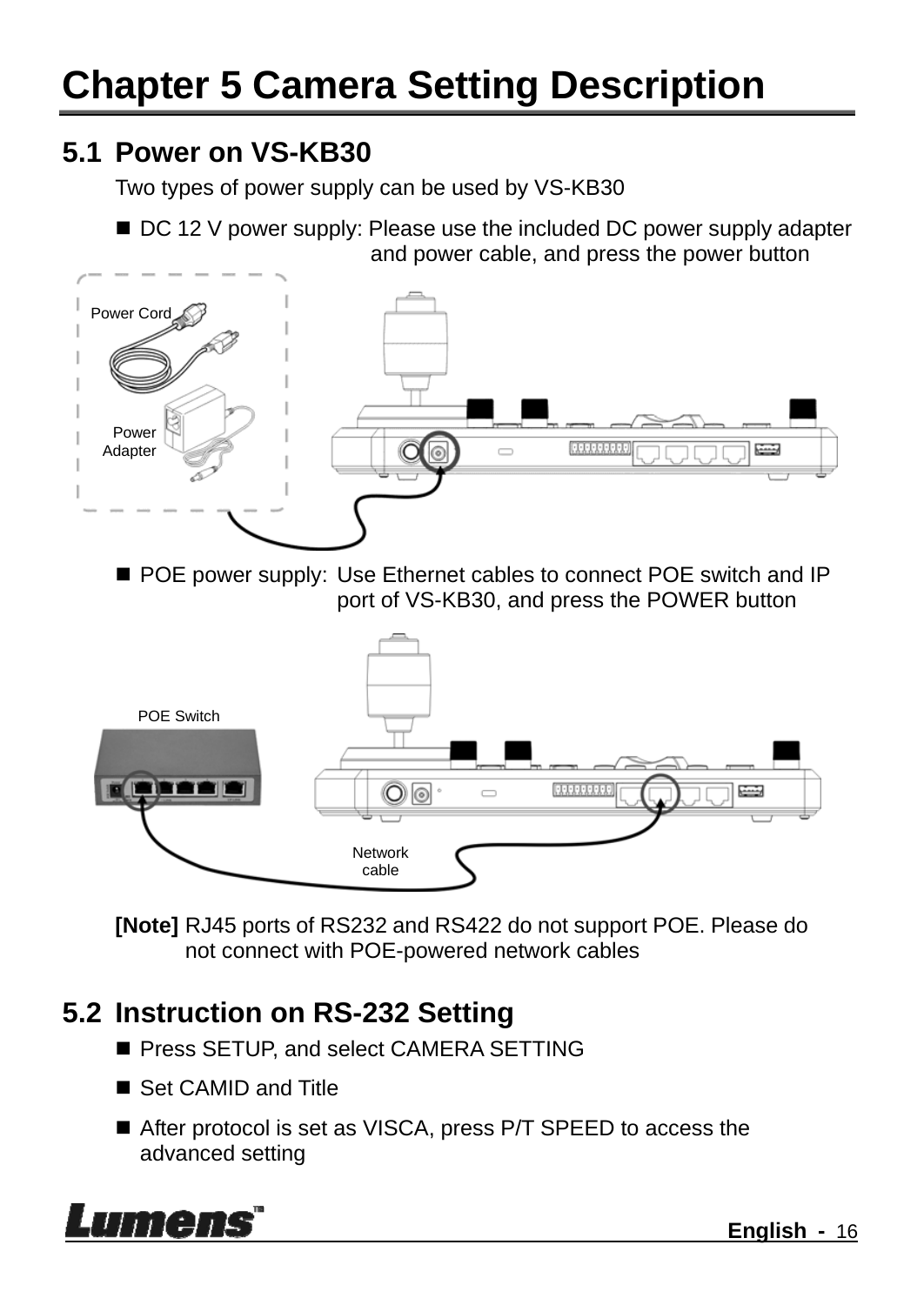#### **5.1 Power on VS-KB30**

Two types of power supply can be used by VS-KB30

■ DC 12 V power supply: Please use the included DC power supply adapter and power cable, and press the power button



POE power supply: Use Ethernet cables to connect POE switch and IP port of VS-KB30, and press the POWER button



**[Note]** RJ45 ports of RS232 and RS422 do not support POE. Please do not connect with POE-powered network cables

#### **5.2 Instruction on RS-232 Setting**

- **Press SETUP, and select CAMERA SETTING**
- Set CAMID and Title
- After protocol is set as VISCA, press P/T SPEED to access the advanced setting

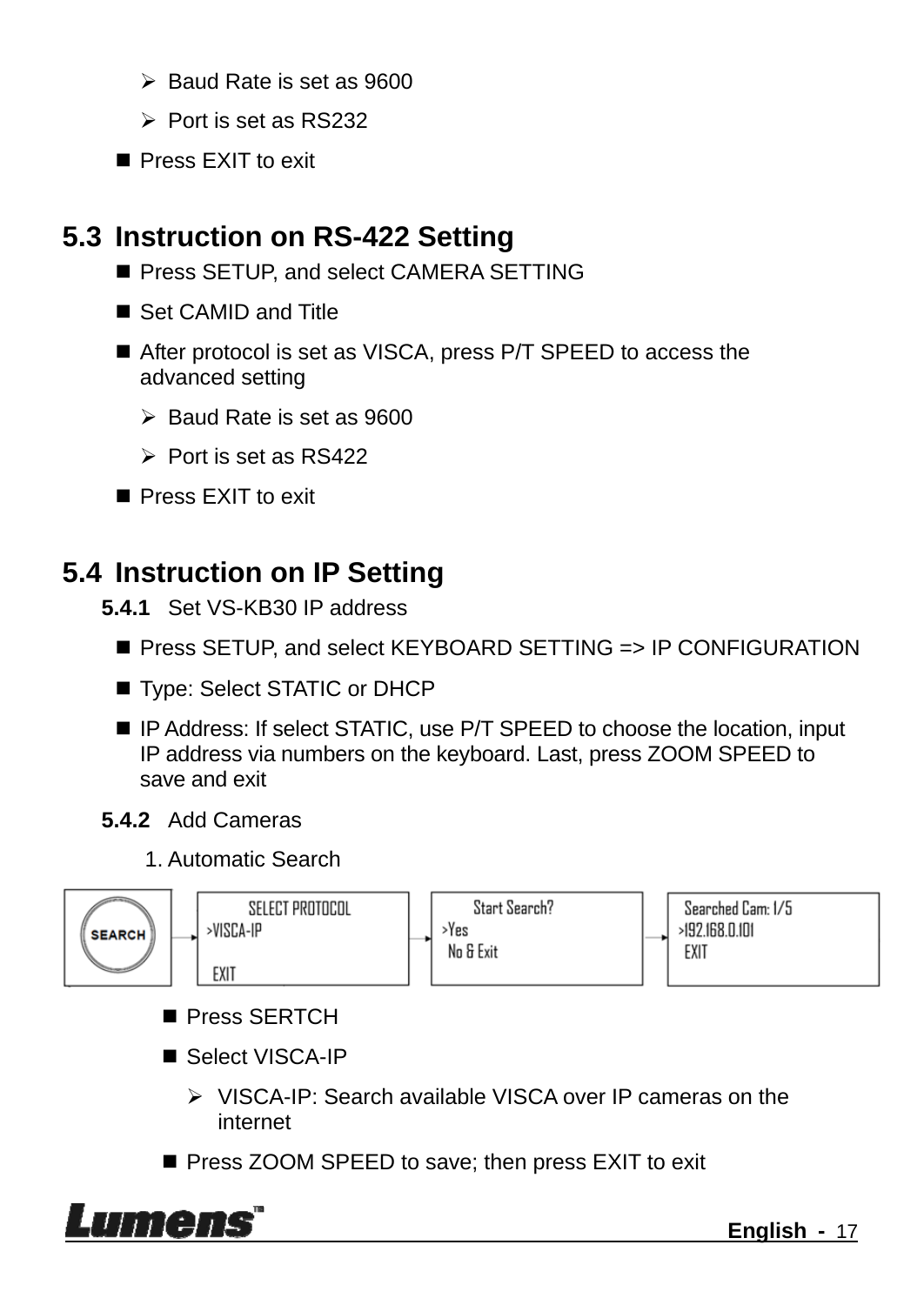- $\triangleright$  Baud Rate is set as 9600
- $\triangleright$  Port is set as RS232
- Press FXIT to exit

#### **5.3 Instruction on RS-422 Setting**

- Press SETUP, and select CAMERA SETTING
- Set CAMID and Title
- After protocol is set as VISCA, press P/T SPEED to access the advanced setting
	- $\triangleright$  Baud Rate is set as 9600
	- $\triangleright$  Port is set as RS422
- Press EXIT to exit

#### **5.4 Instruction on IP Setting**

- **5.4.1** Set VS-KB30 IP address
	- Press SETUP, and select KEYBOARD SETTING => IP CONFIGURATION
	- Type: Select STATIC or DHCP
	- IP Address: If select STATIC, use P/T SPEED to choose the location, input IP address via numbers on the keyboard. Last, press ZOOM SPEED to save and exit
- **5.4.2** Add Cameras
	- 1. Automatic Search



- Press SERTCH
- Select VISCA-IP
	- VISCA-IP: Search available VISCA over IP cameras on the internet
- **Press ZOOM SPEED to save; then press EXIT to exit**

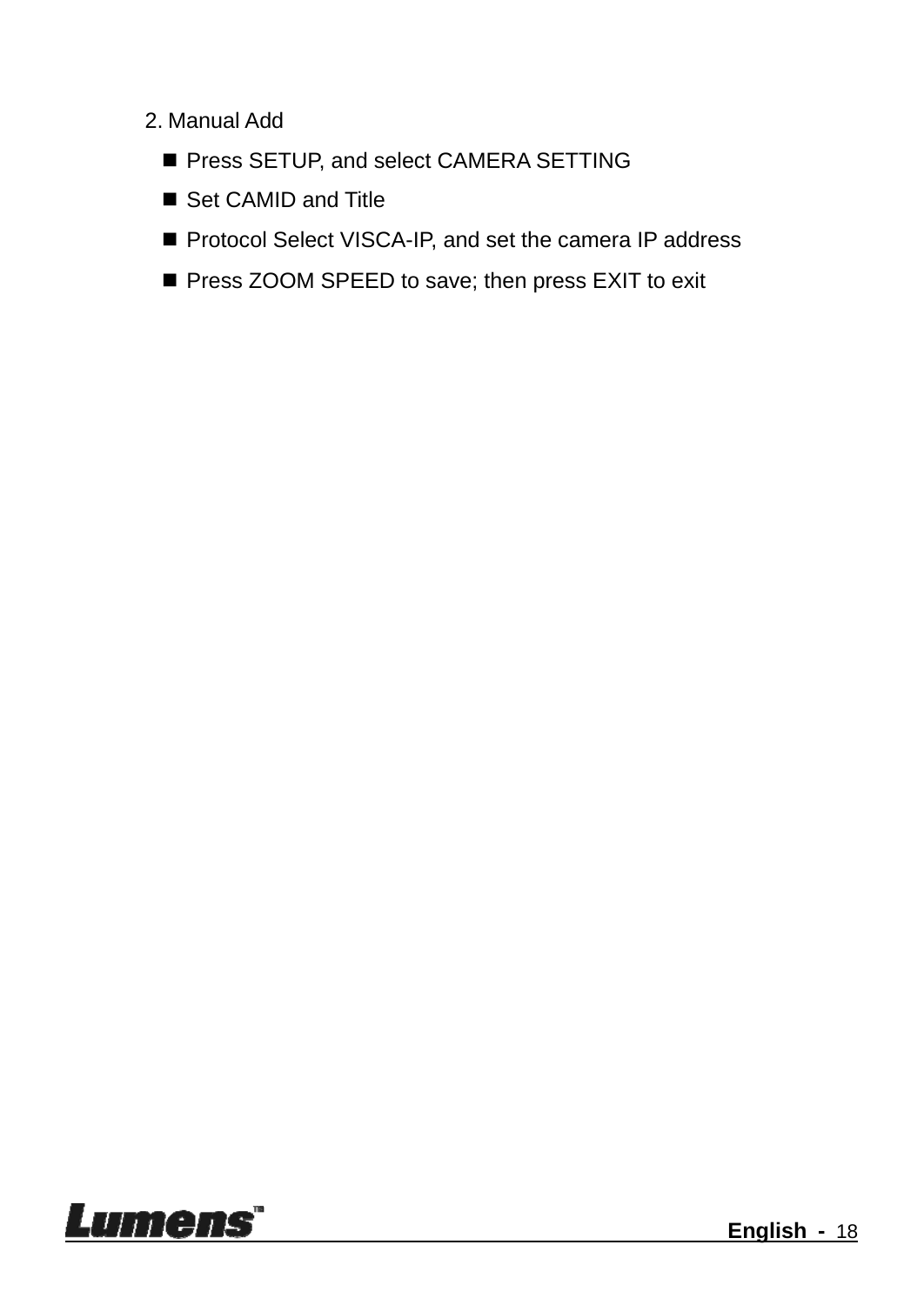- 2. Manual Add
	- Press SETUP, and select CAMERA SETTING
	- Set CAMID and Title
	- **Protocol Select VISCA-IP, and set the camera IP address**
	- Press ZOOM SPEED to save; then press EXIT to exit

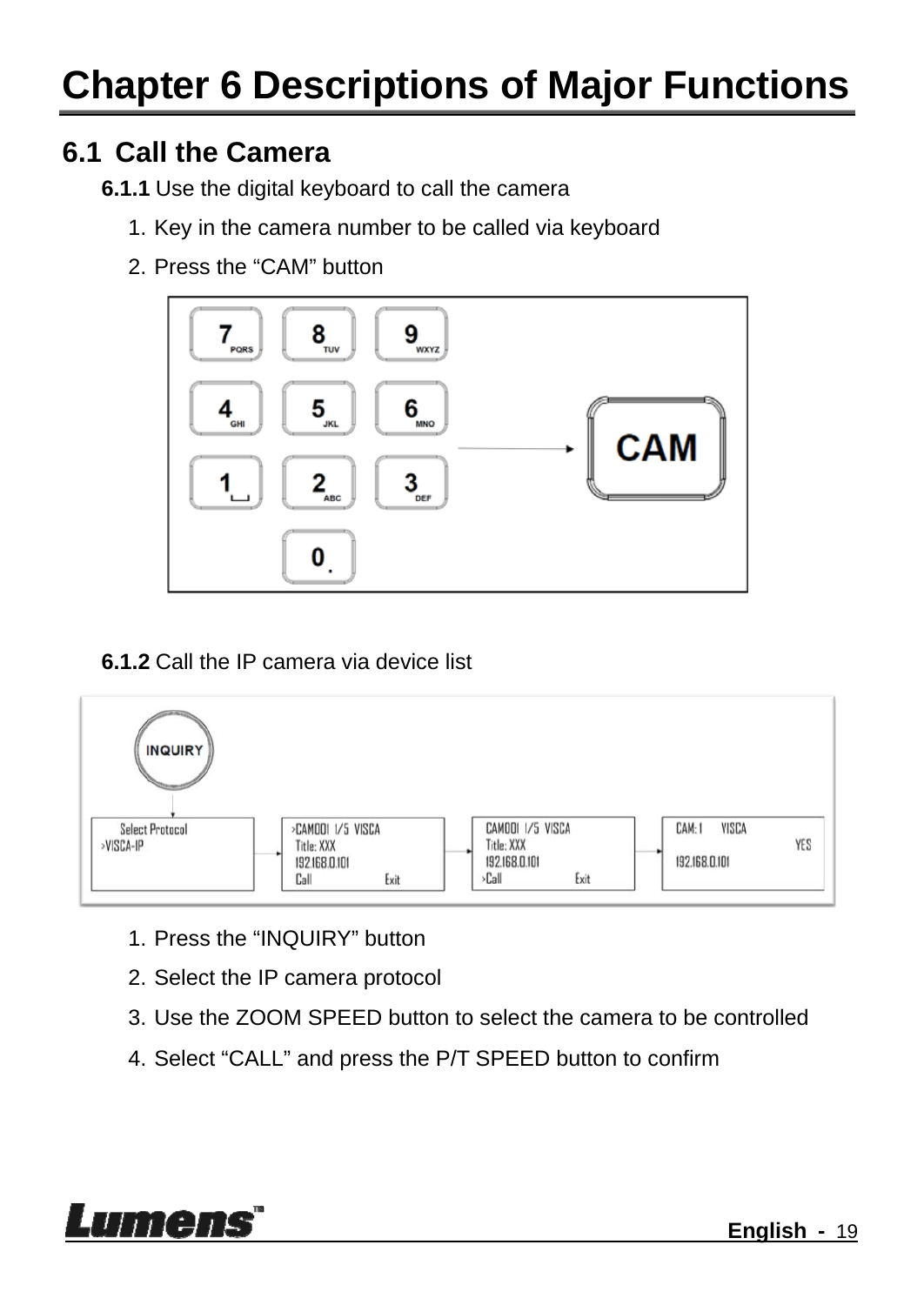### **Chapter 6 Descriptions of Major Functions**

#### **6.1 Call the Camera**

- **6.1.1** Use the digital keyboard to call the camera
	- 1. Key in the camera number to be called via keyboard
	- 2. Press the "CAM" button



**6.1.2** Call the IP camera via device list



- 1. Press the "INQUIRY" button
- 2. Select the IP camera protocol
- 3. Use the ZOOM SPEED button to select the camera to be controlled
- 4. Select "CALL" and press the P/T SPEED button to confirm

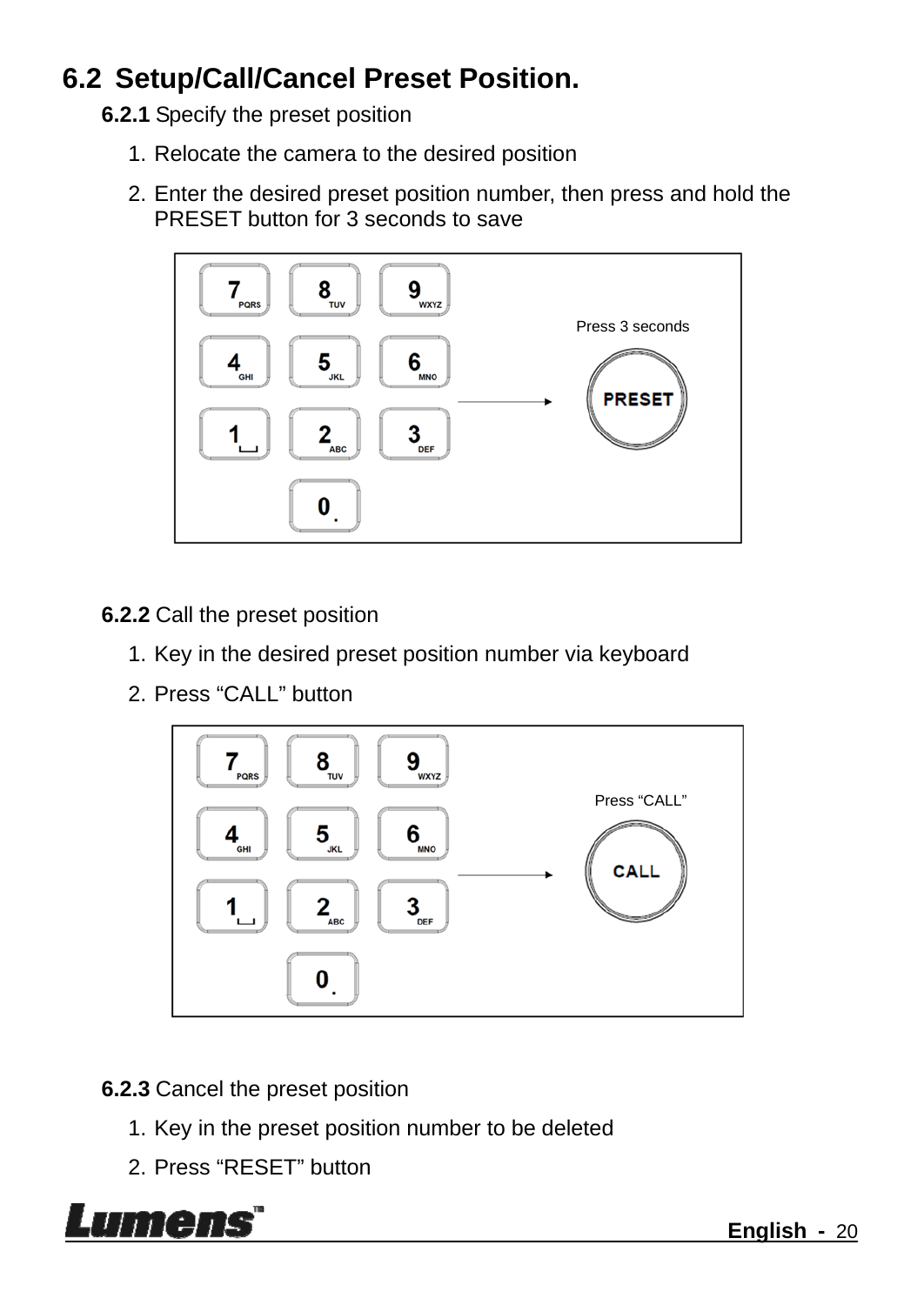#### **6.2 Setup/Call/Cancel Preset Position.**

- **6.2.1** Specify the preset position
	- 1. Relocate the camera to the desired position
	- 2. Enter the desired preset position number, then press and hold the PRESET button for 3 seconds to save



**6.2.2** Call the preset position

- 1. Key in the desired preset position number via keyboard
- 2. Press "CALL" button



**6.2.3** Cancel the preset position

- 1. Key in the preset position number to be deleted
- 2. Press "RESET" button

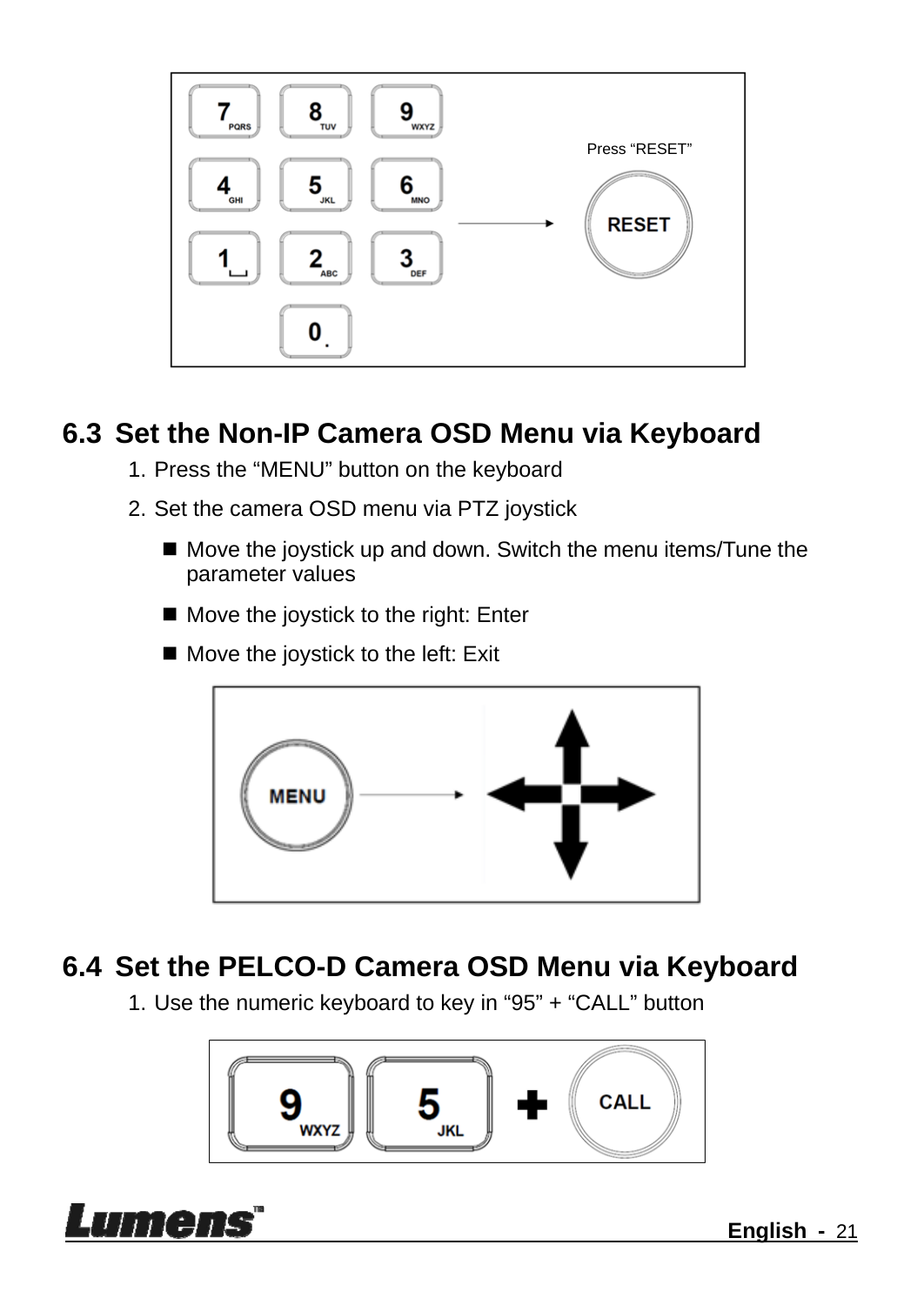

#### **6.3 Set the Non-IP Camera OSD Menu via Keyboard**

- 1. Press the "MENU" button on the keyboard
- 2. Set the camera OSD menu via PTZ joystick
	- Move the joystick up and down. Switch the menu items/Tune the parameter values
	- Move the joystick to the right: Enter
	- $\blacksquare$  Move the joystick to the left: Exit



#### **6.4 Set the PELCO-D Camera OSD Menu via Keyboard**

1. Use the numeric keyboard to key in "95" + "CALL" button



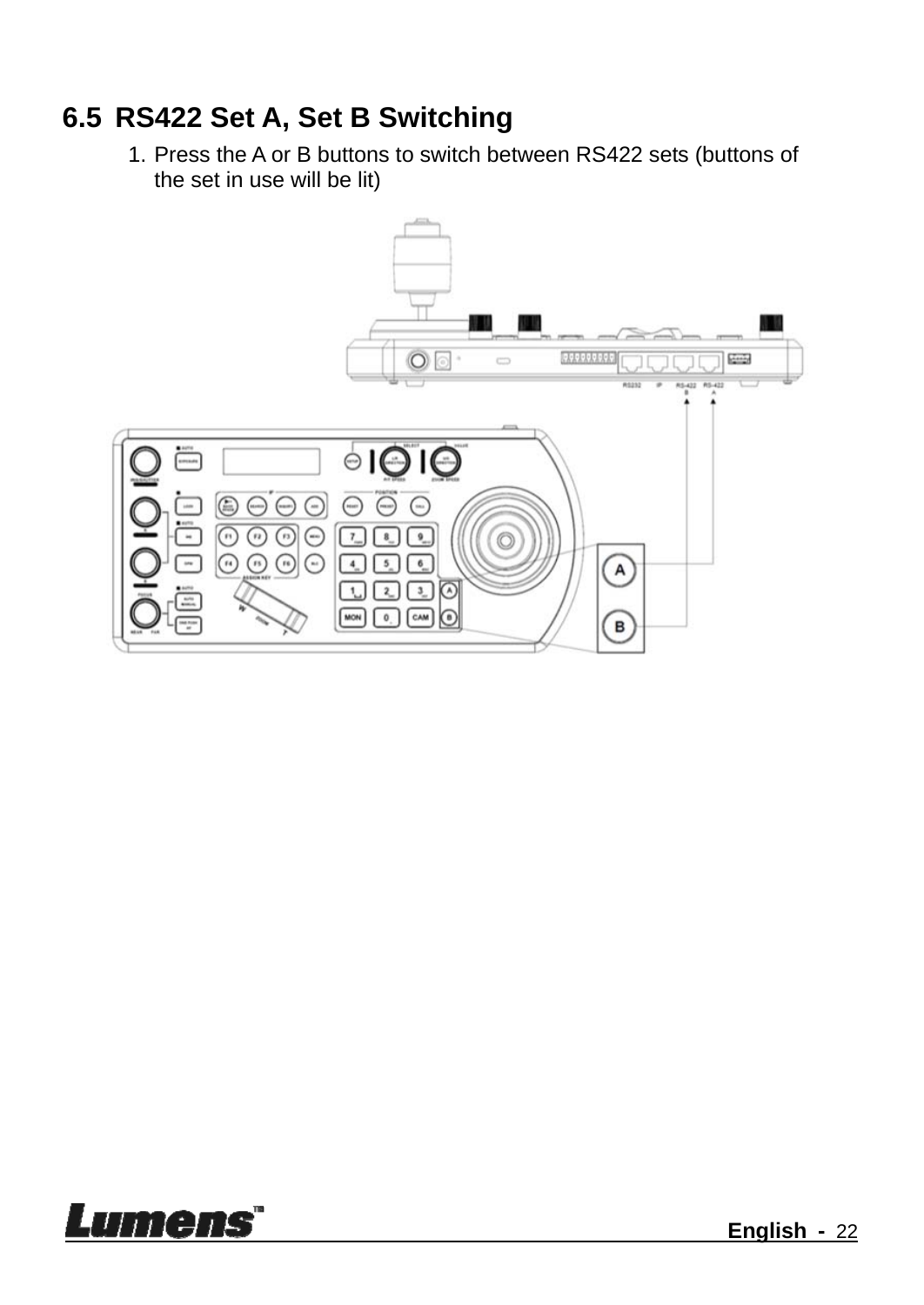#### **6.5 RS422 Set A, Set B Switching**

1. Press the A or B buttons to switch between RS422 sets (buttons of the set in use will be lit)



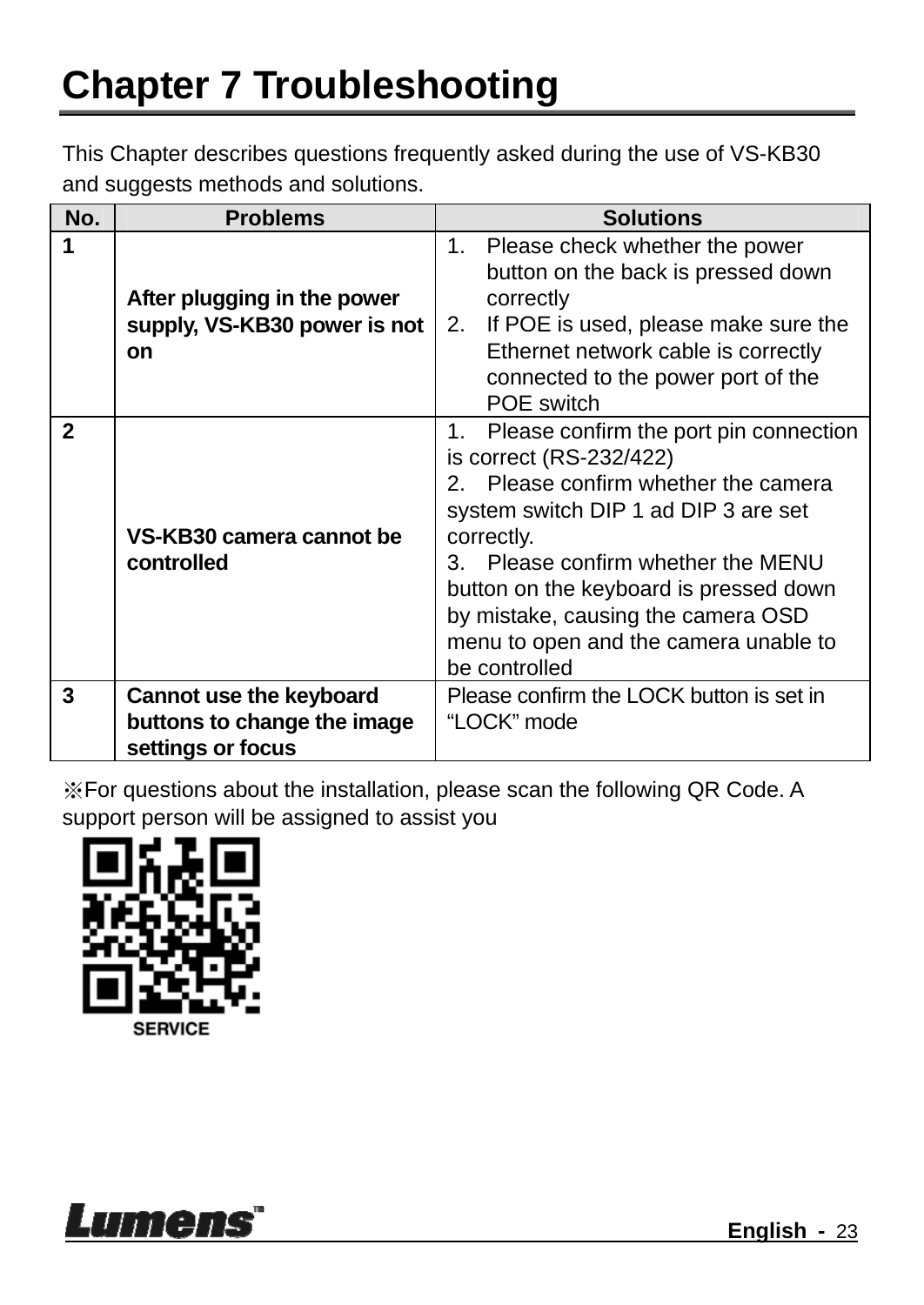This Chapter describes questions frequently asked during the use of VS-KB30 and suggests methods and solutions.

| No.          | <b>Problems</b>                                                   | <b>Solutions</b>                                                                                                                                                                                                                                                                                                                                   |
|--------------|-------------------------------------------------------------------|----------------------------------------------------------------------------------------------------------------------------------------------------------------------------------------------------------------------------------------------------------------------------------------------------------------------------------------------------|
|              | After plugging in the power<br>supply, VS-KB30 power is not<br>on | Please check whether the power<br>1.<br>button on the back is pressed down<br>correctly<br>If POE is used, please make sure the<br>2.<br>Ethernet network cable is correctly<br>connected to the power port of the<br>POE switch                                                                                                                   |
| $\mathbf{2}$ | VS-KB30 camera cannot be<br>controlled                            | 1. Please confirm the port pin connection<br>is correct (RS-232/422)<br>2. Please confirm whether the camera<br>system switch DIP 1 ad DIP 3 are set<br>correctly.<br>3. Please confirm whether the MENU<br>button on the keyboard is pressed down<br>by mistake, causing the camera OSD<br>menu to open and the camera unable to<br>be controlled |
| 3            | Cannot use the keyboard                                           | Please confirm the LOCK button is set in                                                                                                                                                                                                                                                                                                           |
|              | buttons to change the image                                       | "LOCK" mode                                                                                                                                                                                                                                                                                                                                        |
|              | settings or focus                                                 |                                                                                                                                                                                                                                                                                                                                                    |

※For questions about the installation, please scan the following QR Code. A support person will be assigned to assist you